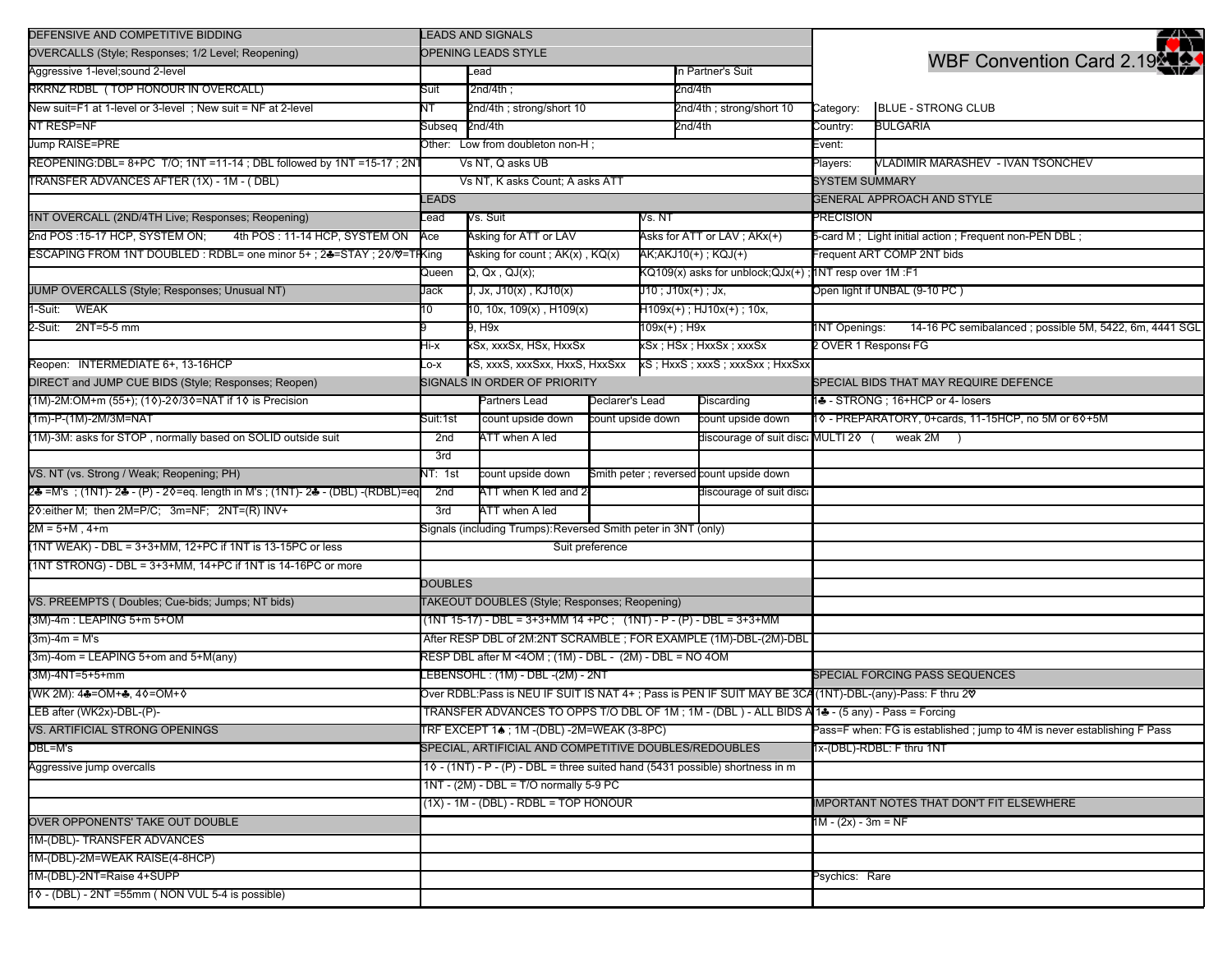| DEFENSIVE AND COMPETITIVE BIDDING                                              |                                         | <b>LEADS AND SIGNALS</b>                                                        |                     |                                                 |                                                                                                         |                            | 2N                                                                       |  |
|--------------------------------------------------------------------------------|-----------------------------------------|---------------------------------------------------------------------------------|---------------------|-------------------------------------------------|---------------------------------------------------------------------------------------------------------|----------------------------|--------------------------------------------------------------------------|--|
| OVERCALLS (Style; Responses; 1/2 Level; Reopening)                             |                                         | OPENING LEADS STYLE                                                             |                     |                                                 |                                                                                                         |                            | WBF Convention Card 2.19                                                 |  |
| Aggressive 1-level;sound 2-level                                               |                                         | Lead                                                                            |                     |                                                 | In Partner's Suit                                                                                       |                            |                                                                          |  |
| RKRNZ RDBL (TOP HONOUR IN OVERCALL)                                            | Suit                                    | $2nd/4th$ ;                                                                     |                     |                                                 | 2nd/4th                                                                                                 |                            |                                                                          |  |
| New suit=F1 at 1-level or 3-level; New suit = NF at 2-level                    | NΤ                                      | 2nd/4th ; strong/short 10                                                       |                     |                                                 | 2nd/4th ; strong/short 10                                                                               | Category:                  | <b>BLUE - STRONG CLUB</b>                                                |  |
| NT RESP=NF                                                                     | Subseq                                  | 2nd/4th                                                                         |                     |                                                 | 2nd/4th                                                                                                 | Country:                   | <b>BULGARIA</b>                                                          |  |
| Jump RAISE=PRE                                                                 |                                         | Other: Low from doubleton non-H;                                                |                     |                                                 |                                                                                                         | Event:                     |                                                                          |  |
| REOPENING:DBL= 8+PC T/O; 1NT =11-14; DBL followed by 1NT =15-17; 2NT           |                                         | Vs NT, Q asks UB                                                                |                     |                                                 |                                                                                                         | Players:                   | VLADIMIR MARASHEV - IVAN TSONCHEV                                        |  |
| TRANSFER ADVANCES AFTER (1X) - 1M - (DBL)                                      |                                         | Vs NT, K asks Count; A asks ATT                                                 |                     |                                                 |                                                                                                         | <b>SYSTEM SUMMARY</b>      |                                                                          |  |
|                                                                                | LEADS                                   |                                                                                 |                     |                                                 |                                                                                                         |                            | <b>GENERAL APPROACH AND STYLE</b>                                        |  |
| 1NT OVERCALL (2ND/4TH Live; Responses; Reopening)                              | Lead                                    | Vs. Suit                                                                        |                     | Vs. NT                                          |                                                                                                         | <b>PRECISION</b>           |                                                                          |  |
| 2nd POS: 15-17 HCP, SYSTEM ON;<br>4th POS: 11-14 HCP, SYSTEM ON                | Ace                                     | Asking for ATT or LAV                                                           |                     |                                                 | Asks for ATT or LAV; AKx(+)                                                                             |                            | 5-card M; Light initial action; Frequent non-PEN DBL;                    |  |
| ESCAPING FROM 1NT DOUBLED : RDBL= one minor 5+ ; 24=STAY ; 20/0=1              | <b>HKing</b>                            | Asking for count ; AK(x), KQ(x)                                                 |                     |                                                 | AK;AKJ10(+); KQJ(+)                                                                                     |                            | Frequent ART COMP 2NT bids                                               |  |
|                                                                                | Queen                                   | Q, Qx, QJ(x);                                                                   |                     |                                                 | KQ109(x) asks for unblock;QJx(+); 1NT resp over 1M :F1                                                  |                            |                                                                          |  |
| JUMP OVERCALLS (Style; Responses; Unusual NT)                                  | Jack                                    | J, Jx, J10(x) , KJ10(x)                                                         |                     | J10 ; J10x(+) ; Jx,                             |                                                                                                         |                            | Open light if UNBAL (9-10 PC)                                            |  |
| 1-Suit: WEAK                                                                   | 10                                      | 10, 10x, 109(x), H109(x)                                                        |                     |                                                 | $H109x(+)$ ; $HJ10x(+)$ ; 10x,                                                                          |                            |                                                                          |  |
| 2-Suit: 2NT=5-5 mm                                                             |                                         | 9, H9x                                                                          |                     | 109x(+) ; H9x                                   |                                                                                                         | <b>INT Openings:</b>       | 14-16 PC semibalanced; possible 5M, 5422, 6m, 4441 SGL                   |  |
|                                                                                | Hi-x                                    | xSx, xxxSx, HSx, HxxSx                                                          |                     |                                                 | xSx ; HSx ; HxxSx ; xxxSx                                                                               | 2 OVER 1 Respons FG        |                                                                          |  |
| Reopen: INTERMEDIATE 6+, 13-16HCP                                              | _o-x                                    | xS, xxxS, xxxSxx, HxxS, HxxSxx                                                  |                     |                                                 | xS ; HxxS ; xxxS ; xxxSxx ; HxxSxx                                                                      |                            |                                                                          |  |
| DIRECT and JUMP CUE BIDS (Style; Responses; Reopen)                            |                                         | SIGNALS IN ORDER OF PRIORITY                                                    |                     |                                                 |                                                                                                         |                            | SPECIAL BIDS THAT MAY REQUIRE DEFENCE                                    |  |
| (1M)-2M:OM+m (55+); (10)-20/30=NAT if 10 is Precision                          |                                         | Partners Lead                                                                   | Declarer's Lead     |                                                 | Discarding                                                                                              |                            | 14 - STRONG ; 16+HCP or 4- losers                                        |  |
| (1m)-P-(1M)-2M/3M=NAT                                                          | Suit:1st                                | count upside down                                                               | count upside down   |                                                 | count upside down                                                                                       |                            | 10 - PREPARATORY, 0+cards, 11-15HCP, no 5M or 60+5M                      |  |
| (1M)-3M: asks for STOP, normally based on SOLID outside suit                   | 2nd                                     | ATT when A led                                                                  |                     |                                                 | discourage of suit disc: MULTI 20 (                                                                     |                            | weak $2M$ )                                                              |  |
|                                                                                | 3rd                                     |                                                                                 |                     |                                                 |                                                                                                         |                            |                                                                          |  |
| VS. NT (vs. Strong / Weak; Reopening; PH)                                      | NT: 1st                                 | count upside down                                                               |                     |                                                 | Smith peter ; reversed count upside down                                                                |                            |                                                                          |  |
| 2♣ =M's ;(1NT)- 2♣ - (P) - 2◊=eq. length in M's ; (1NT)- 2♣ - (DBL) -(RDBL)=eq | 2nd                                     | ATT when K led and 2                                                            |                     |                                                 | discourage of suit disc                                                                                 |                            |                                                                          |  |
| 20: either M; then 2M=P/C; 3m=NF; 2NT=(R) INV+                                 | 3rd                                     | ATT when A led                                                                  |                     |                                                 |                                                                                                         |                            |                                                                          |  |
| 2M = 5+M , 4+m                                                                 |                                         | Signals (including Trumps): Reversed Smith peter in 3NT (only)                  |                     |                                                 |                                                                                                         |                            |                                                                          |  |
| (1NT WEAK) - DBL = 3+3+MM, 12+PC if 1NT is 13-15PC or less                     |                                         |                                                                                 | Suit preference     |                                                 |                                                                                                         |                            |                                                                          |  |
| (1NT STRONG) - DBL = 3+3+MM, 14+PC if 1NT is 14-16PC or more                   |                                         |                                                                                 |                     |                                                 |                                                                                                         |                            |                                                                          |  |
|                                                                                | <b>DOUBLES</b>                          |                                                                                 |                     |                                                 |                                                                                                         |                            |                                                                          |  |
| VS. PREEMPTS (Doubles; Cue-bids; Jumps; NT bids)                               |                                         | TAKEOUT DOUBLES (Style; Responses; Reopening)                                   |                     |                                                 |                                                                                                         |                            |                                                                          |  |
| (3M)-4m : LEAPING 5+m 5+OM                                                     |                                         | $(1NT 15-17) - DBL = 3+3+MM 14+PC$ ; $(1NT) - P - (P) - DBL = 3+3+MM$           |                     |                                                 |                                                                                                         |                            |                                                                          |  |
| (3m)-4m = M's                                                                  |                                         |                                                                                 |                     |                                                 | After RESP DBL of 2M:2NT SCRAMBLE; FOR EXAMPLE (1M)-DBL-(2M)-DBL                                        |                            |                                                                          |  |
| (3m)-4om = LEAPING 5+om and 5+M(any)                                           |                                         | RESP DBL after M <4OM; (1M) - DBL - (2M) - DBL = NO 4OM                         |                     |                                                 |                                                                                                         |                            |                                                                          |  |
| (3M)-4NT=5+5+mm                                                                |                                         | LEBENSOHL: (1M) - DBL -(2M) - 2NT                                               |                     |                                                 |                                                                                                         |                            | SPECIAL FORCING PASS SEQUENCES                                           |  |
| (WK 2M): 4♣=OM+♣, 4♦=OM+♦                                                      |                                         |                                                                                 |                     |                                                 | Over RDBL:Pass is NEU IF SUIT IS NAT 4+; Pass is PEN IF SUIT MAY BE 3CA (1NT)-DBL-(any)-Pass: F thru 20 |                            |                                                                          |  |
| LEB after (WK2x)-DBL-(P)-                                                      |                                         |                                                                                 |                     |                                                 | TRANSFER ADVANCES TO OPPS T/O DBL OF 1M; 1M - (DBL) - ALL BIDS A 1♣ - (5 any) - Pass = Forcing          |                            |                                                                          |  |
| VS. ARTIFICIAL STRONG OPENINGS                                                 |                                         | TRF EXCEPT 1♠ ; 1M -(DBL) -2M=WEAK (3-8PC)                                      |                     |                                                 |                                                                                                         |                            | Pass=F when: FG is established ; jump to 4M is never establishing F Pass |  |
| DBL=M's                                                                        |                                         | SPECIAL, ARTIFICIAL AND COMPETITIVE DOUBLES/REDOUBLES                           |                     |                                                 |                                                                                                         |                            | 1x-(DBL)-RDBL: F thru 1NT                                                |  |
| Aggressive jump overcalls                                                      |                                         | $10 - (1NT) - P - (P) - DBL =$ three suited hand (5431 possible) shortness in m |                     |                                                 |                                                                                                         |                            |                                                                          |  |
|                                                                                |                                         | 1NT - (2M) - DBL = T/O normally 5-9 PC                                          |                     |                                                 |                                                                                                         |                            |                                                                          |  |
|                                                                                | $(1X) - 1M - (DBL) - RDBL = TOP HONOUR$ |                                                                                 |                     | <b>IMPORTANT NOTES THAT DON'T FIT ELSEWHERE</b> |                                                                                                         |                            |                                                                          |  |
| OVER OPPONENTS' TAKE OUT DOUBLE                                                |                                         |                                                                                 | 1M - (2x) - 3m = NF |                                                 |                                                                                                         |                            |                                                                          |  |
| 1M-(DBL)- TRANSFER ADVANCES                                                    |                                         |                                                                                 |                     |                                                 |                                                                                                         |                            |                                                                          |  |
| 1M-(DBL)-2M=WEAK RAISE(4-8HCP)                                                 |                                         |                                                                                 |                     |                                                 |                                                                                                         |                            |                                                                          |  |
| 1M-(DBL)-2NT=Raise 4+SUPP                                                      |                                         |                                                                                 |                     |                                                 |                                                                                                         | <sup>2</sup> sychics: Rare |                                                                          |  |
| 10 - (DBL) - 2NT =55mm (NON VUL 5-4 is possible)                               |                                         |                                                                                 |                     |                                                 |                                                                                                         |                            |                                                                          |  |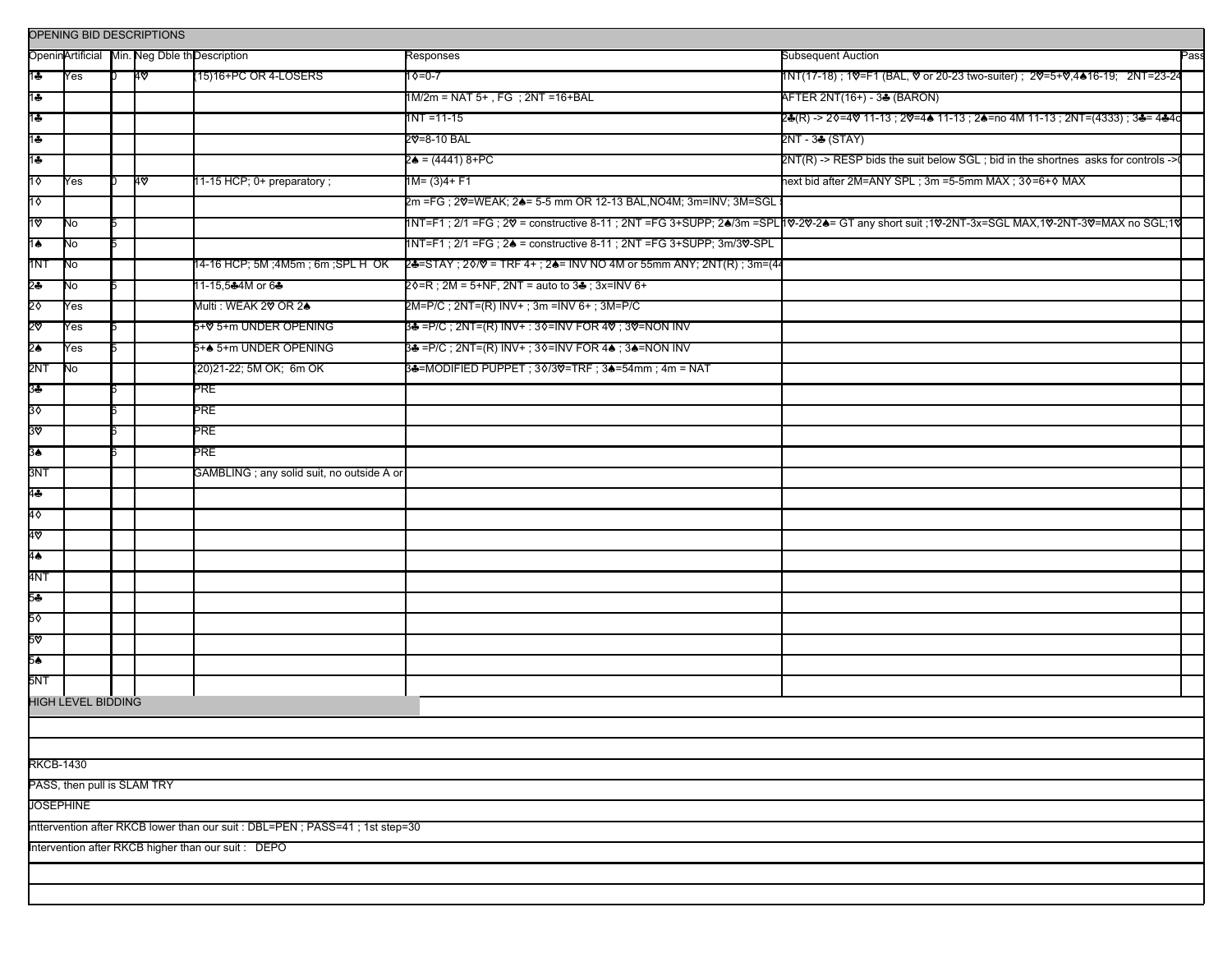|                  |                             |  | OPENING BID DESCRIPTIONS |                                                                                |                                                                     |                                                                                                                                              |
|------------------|-----------------------------|--|--------------------------|--------------------------------------------------------------------------------|---------------------------------------------------------------------|----------------------------------------------------------------------------------------------------------------------------------------------|
|                  |                             |  |                          | OpeninArtificial Min. Neg Dble th Description                                  | Responses                                                           | <b>Subsequent Auction</b><br>Pass                                                                                                            |
| 1♣               | Yes                         |  | 40                       | (15)16+PC OR 4-LOSERS                                                          | $10=0-7$                                                            | 1NT(17-18) ; 1♡=F1 (BAL, ♡ or 20-23 two-suiter) ; 2♡=5+♡,4▲16-19; 2NT=23-24                                                                  |
| 1♣               |                             |  |                          |                                                                                | $1M/2m = NAT 5+$ , FG ; $2NT = 16+BAL$                              | AFTER 2NT(16+) - 3 & (BARON)                                                                                                                 |
| $1 +$            |                             |  |                          |                                                                                | $1NT = 11 - 15$                                                     | 2♣(R) -> 2♦=4♥ 11-13 ; 2♥=4♠ 11-13 ; 2♠=no 4M 11-13 ; 2NT=(4333) ; 3♣= 4♣4d                                                                  |
| 1♣               |                             |  |                          |                                                                                | 2∀=8-10 BAL                                                         | 2NT - 34 (STAY)                                                                                                                              |
| 1♣               |                             |  |                          |                                                                                | 2♠ = (4441) 8+PC                                                    | 2NT(R) -> RESP bids the suit below SGL; bid in the shortnes asks for controls ->                                                             |
| 10               | Yes                         |  | 4∨                       | 11-15 HCP; 0+ preparatory;                                                     | 1M= (3)4+ F1                                                        | hext bid after 2M=ANY SPL ; 3m =5-5mm MAX ; 3♦=6+♦ MAX                                                                                       |
| 10               |                             |  |                          |                                                                                | 2m =FG ; 20=WEAK; 2♠= 5-5 mm OR 12-13 BAL,NO4M; 3m=INV; 3M=SGL      |                                                                                                                                              |
| 1ত               | No                          |  |                          |                                                                                |                                                                     | 1NT=F1 ; 2/1 =FG ; 2V = constructive 8-11 ; 2NT =FG 3+SUPP; 2●/3m =SPL1V-2V-2●= GT any short suit ;1V-2NT-3x=SGL MAX,1V-2NT-3V=MAX no SGL;1V |
| $1\spadesuit$    | No                          |  |                          |                                                                                | 1NT=F1; 2/1 =FG; 24 = constructive 8-11; 2NT =FG 3+SUPP; 3m/30-SPL  |                                                                                                                                              |
| 1NT              | No                          |  |                          | 14-16 HCP; 5M ;4M5m ; 6m ;SPL H_OK                                             | 2♣=STAY ; 2◊/♥ = TRF 4+ ; 2♠= INV NO 4M or 55mm ANY; 2NT(R) ; 3m=(4 |                                                                                                                                              |
| \$               | No                          |  |                          | 11-15,5♣4M or 6♣                                                               | 2♦=R; 2M = 5+NF, 2NT = auto to 3♣; 3x=INV 6+                        |                                                                                                                                              |
| 2◊               | Yes                         |  |                          | Multi : WEAK 2♥ OR 2♠                                                          | 2M=P/C ; 2NT=(R) INV+ ; 3m =INV 6+ ; 3M=P/C                         |                                                                                                                                              |
| 2⊽               | Yes                         |  |                          | 5+♡ 5+m UNDER OPENING                                                          | 3♣ =P/C ; 2NT=(R) INV+ : 3♦=INV FOR 4♡ ; 3♡=NON INV                 |                                                                                                                                              |
| 2≜               | Yes                         |  |                          | 5+▲ 5+m UNDER OPENING                                                          | 3♣ =P/C ; 2NT=(R) INV+ ; 3♦=INV FOR 4♠ ; 3♠=NON INV                 |                                                                                                                                              |
| 2NT              | No                          |  |                          | (20)21-22; 5M OK; 6m OK                                                        | 3♣=MODIFIED PUPPET ; 30/3♡=TRF ; 3♠=54mm ; 4m = NAT                 |                                                                                                                                              |
| 3♣               |                             |  |                          | PRE                                                                            |                                                                     |                                                                                                                                              |
| 30               |                             |  |                          | PRE                                                                            |                                                                     |                                                                                                                                              |
| 30               |                             |  |                          | PRE                                                                            |                                                                     |                                                                                                                                              |
| 3∔               |                             |  |                          | PRE                                                                            |                                                                     |                                                                                                                                              |
| 3NT              |                             |  |                          | GAMBLING ; any solid suit, no outside A or                                     |                                                                     |                                                                                                                                              |
| 4♣               |                             |  |                          |                                                                                |                                                                     |                                                                                                                                              |
| 4♦               |                             |  |                          |                                                                                |                                                                     |                                                                                                                                              |
| 4♡               |                             |  |                          |                                                                                |                                                                     |                                                                                                                                              |
| 4♠               |                             |  |                          |                                                                                |                                                                     |                                                                                                                                              |
| 4NT              |                             |  |                          |                                                                                |                                                                     |                                                                                                                                              |
| 54               |                             |  |                          |                                                                                |                                                                     |                                                                                                                                              |
| 5٥               |                             |  |                          |                                                                                |                                                                     |                                                                                                                                              |
| 5⊽               |                             |  |                          |                                                                                |                                                                     |                                                                                                                                              |
| 5♠               |                             |  |                          |                                                                                |                                                                     |                                                                                                                                              |
| 5NT              |                             |  |                          |                                                                                |                                                                     |                                                                                                                                              |
|                  | HIGH LEVEL BIDDING          |  |                          |                                                                                |                                                                     |                                                                                                                                              |
|                  |                             |  |                          |                                                                                |                                                                     |                                                                                                                                              |
|                  |                             |  |                          |                                                                                |                                                                     |                                                                                                                                              |
| <b>RKCB-1430</b> |                             |  |                          |                                                                                |                                                                     |                                                                                                                                              |
|                  | PASS, then pull is SLAM TRY |  |                          |                                                                                |                                                                     |                                                                                                                                              |
| JOSEPHINE        |                             |  |                          |                                                                                |                                                                     |                                                                                                                                              |
|                  |                             |  |                          | Inttervention after RKCB lower than our suit : DBL=PEN ; PASS=41 ; 1st step=30 |                                                                     |                                                                                                                                              |
|                  |                             |  |                          | Intervention after RKCB higher than our suit: DEPO                             |                                                                     |                                                                                                                                              |
|                  |                             |  |                          |                                                                                |                                                                     |                                                                                                                                              |
|                  |                             |  |                          |                                                                                |                                                                     |                                                                                                                                              |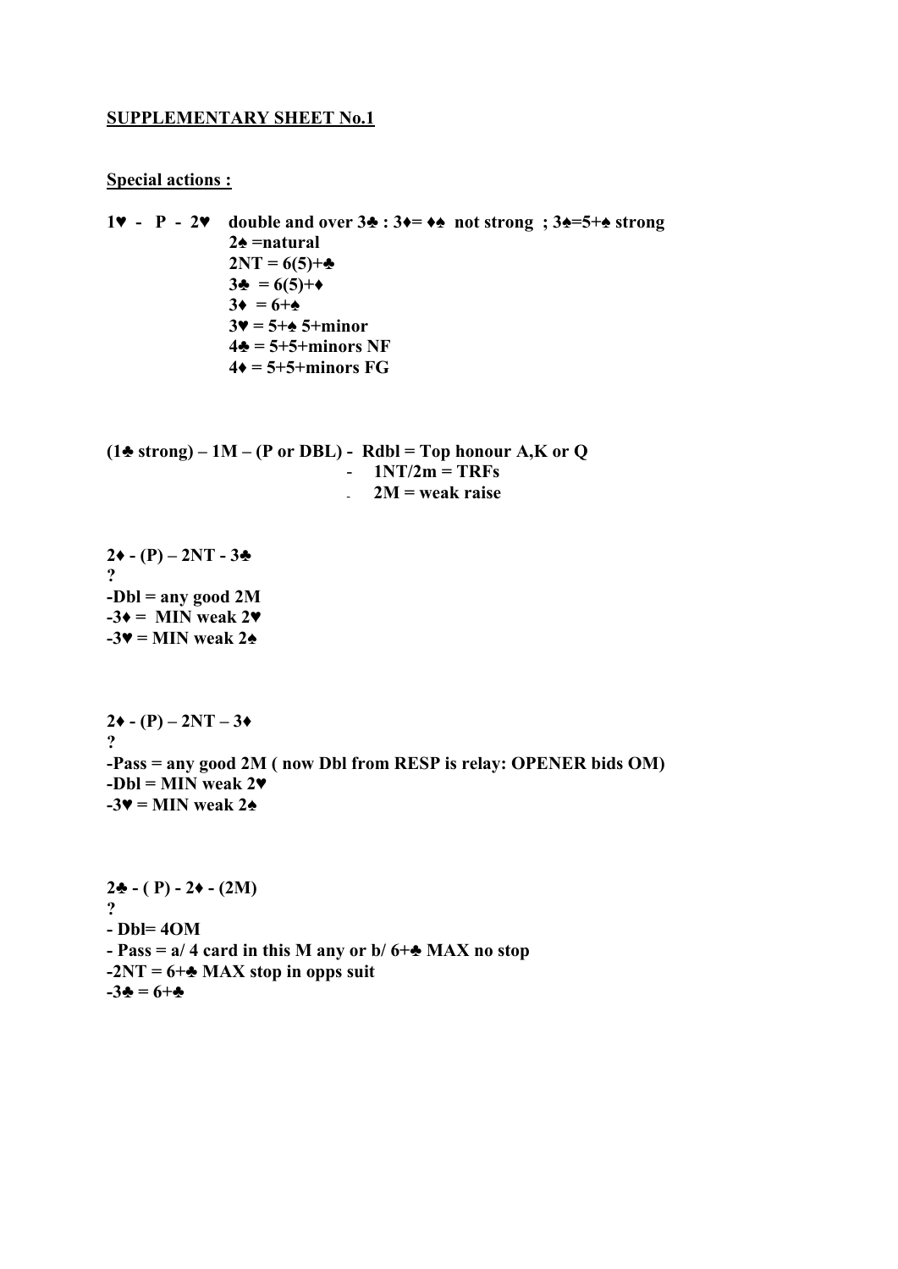#### **SUPPLEMENTARY SHEET No.1**

#### **Special actions :**

```
1♥ - P - 2♥ double and over 3♣ : 3♦= ♦♠ not strong ; 3♠=5+♠ strong 
                  2♠ =natural 
                  2NT = 6(5)+♣
                  3♣ = 6(5)+♦
                 3 \bullet = 6 + \bullet 3♥ = 5+♠ 5+minor 
                  4♣ = 5+5+minors NF 
                 4\bullet = 5 + 5 + \text{minors} FG
```
**(1♣ strong) – 1M – (P or DBL) - Rdbl = Top honour A,K or Q**   $-1NT/2m = TRFs$ - **2M = weak raise**

 $2 \cdot (-P) - 2NT - 3$ **? -Dbl = any good 2M**   $-3\bullet =$  MIN weak 2 $\bullet$  $-3$  $\blacktriangleright$  = MIN weak 2 $\blacktriangle$ 

 $2\bullet$  - (P) – 2NT – 3 $\bullet$ **? -Pass = any good 2M ( now Dbl from RESP is relay: OPENER bids OM) -Dbl = MIN weak 2♥**   $-3$  $\blacktriangleright$  = MIN weak 2 $\blacktriangle$ 

**2♣ - ( P) - 2♦ - (2M) ? - Dbl= 4OM - Pass = a/ 4 card in this M any or b/ 6+♣ MAX no stop -2NT = 6+♣ MAX stop in opps suit**   $-3\clubsuit = 6+\clubsuit$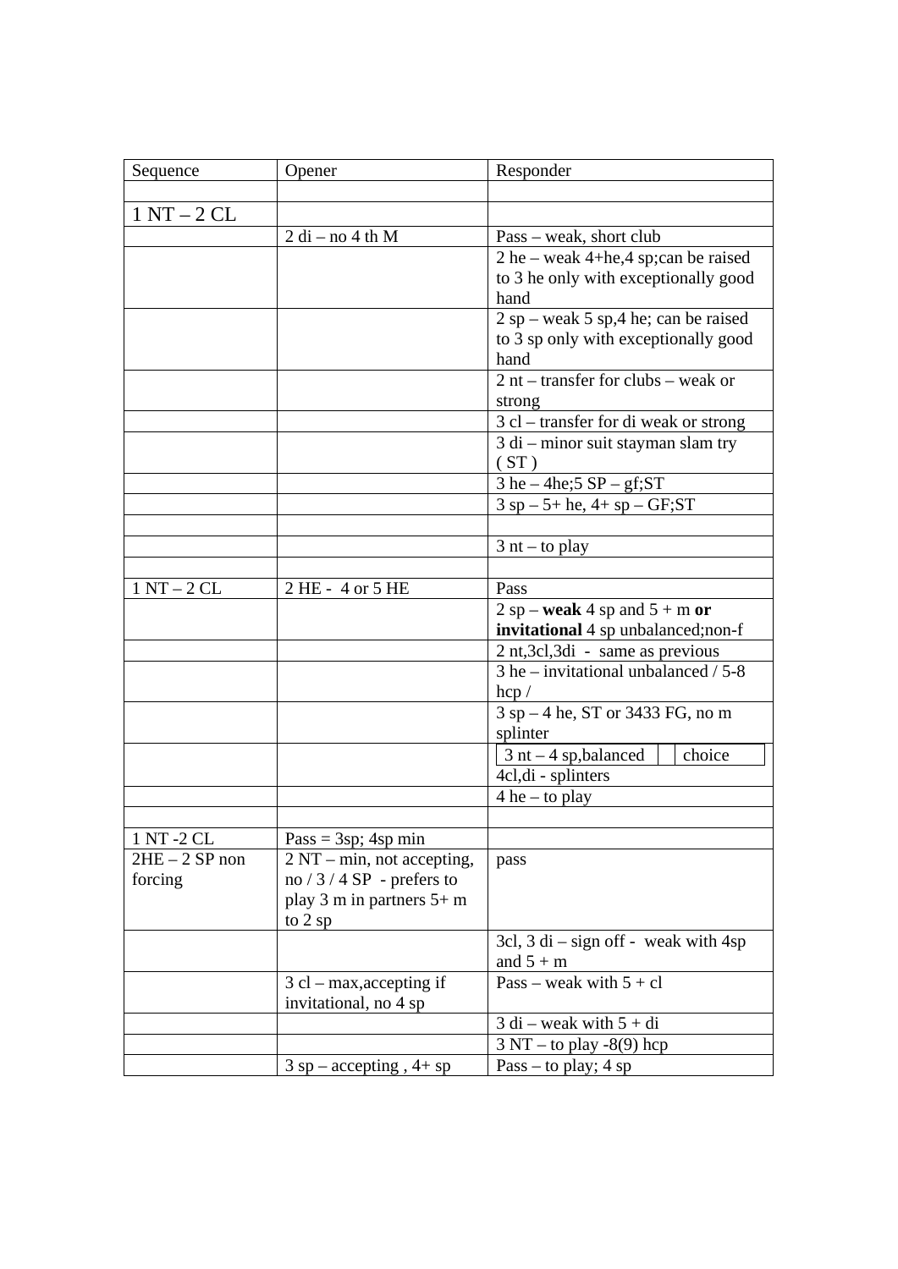| Sequence        | Opener                      | Responder                                                 |
|-----------------|-----------------------------|-----------------------------------------------------------|
|                 |                             |                                                           |
| $1NT - 2CL$     |                             |                                                           |
|                 | $2 di$ – no 4 th M          | Pass – weak, short club                                   |
|                 |                             | $2$ he – weak 4+he, 4 sp; can be raised                   |
|                 |                             | to 3 he only with exceptionally good                      |
|                 |                             | hand                                                      |
|                 |                             | $2$ sp – weak 5 sp, 4 he; can be raised                   |
|                 |                             | to 3 sp only with exceptionally good                      |
|                 |                             | hand                                                      |
|                 |                             | $2$ nt – transfer for clubs – weak or                     |
|                 |                             | strong                                                    |
|                 |                             | 3 cl – transfer for di weak or strong                     |
|                 |                             | 3 di - minor suit stayman slam try<br>(ST)                |
|                 |                             | $3$ he $-$ 4he; $5$ SP $-$ gf; ST                         |
|                 |                             | $3$ sp $-5$ + he, $4$ + sp $-$ GF;ST                      |
|                 |                             |                                                           |
|                 |                             | $3$ nt – to play                                          |
|                 |                             |                                                           |
| $1NT - 2CL$     | 2 HE - 4 or 5 HE            | Pass                                                      |
|                 |                             | $2$ sp – weak 4 sp and $5 + m$ or                         |
|                 |                             | invitational 4 sp unbalanced;non-f                        |
|                 |                             | 2 nt,3cl,3di - same as previous                           |
|                 |                             | $3$ he – invitational unbalanced / $5-8$<br>$\text{hcp}/$ |
|                 |                             | 3 sp – 4 he, ST or 3433 FG, no m                          |
|                 |                             | splinter                                                  |
|                 |                             | choice<br>$3$ nt $-4$ sp, balanced                        |
|                 |                             | $4cl$ , di - splinters                                    |
|                 |                             | $4$ he – to play                                          |
|                 |                             |                                                           |
| 1 NT -2 CL      | $Pass = 3sp; 4sp min$       |                                                           |
| $2HE - 2SP$ non | 2 NT – min, not accepting,  | pass                                                      |
| forcing         | no $/3/4$ SP - prefers to   |                                                           |
|                 | play 3 m in partners 5+ m   |                                                           |
|                 | to 2 sp                     |                                                           |
|                 |                             | 3cl, $3$ di – sign off - weak with 4sp                    |
|                 |                             | and $5 + m$                                               |
|                 | $3$ cl – max, accepting if  | Pass – weak with $5 + cl$                                 |
|                 | invitational, no 4 sp       |                                                           |
|                 |                             | $3$ di – weak with $5 + di$                               |
|                 |                             | $3 NT - to play -8(9) hep$                                |
|                 | $3$ sp – accepting, $4+$ sp | Pass – to play; $4$ sp                                    |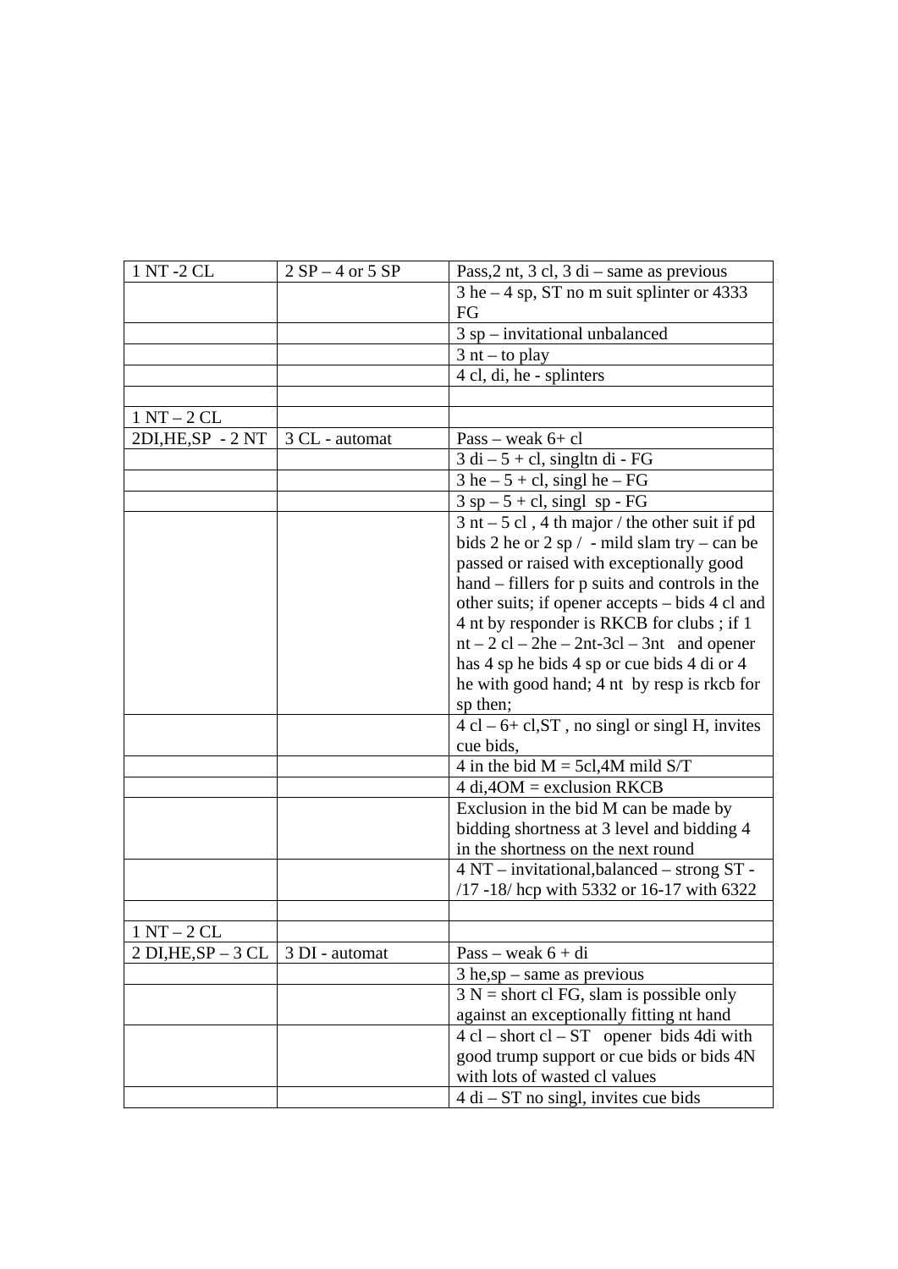| 1 NT-2 CL              | $2 SP - 4$ or $5 SP$ | Pass, $2$ nt, $3$ cl, $3$ di – same as previous                   |
|------------------------|----------------------|-------------------------------------------------------------------|
|                        |                      | $3$ he $-4$ sp, ST no m suit splinter or 4333                     |
|                        |                      | FG                                                                |
|                        |                      | $3$ sp – invitational unbalanced                                  |
|                        |                      | $3$ nt – to play                                                  |
|                        |                      | 4 cl, di, he - splinters                                          |
|                        |                      |                                                                   |
| $1 NT - 2 CL$          |                      |                                                                   |
| 2DI, HE, SP - 2NT      | 3 CL - automat       | $Pass - weak 6+ cl$                                               |
|                        |                      | $3$ di $-5$ + cl, singltn di - FG                                 |
|                        |                      | $3$ he $-5 +$ cl, singl he $-FG$                                  |
|                        |                      | $3$ sp $-5$ + cl, singl sp - FG                                   |
|                        |                      | $3$ nt $-5$ cl, 4 th major / the other suit if pd                 |
|                        |                      | bids 2 he or 2 sp $/$ - mild slam try – can be                    |
|                        |                      | passed or raised with exceptionally good                          |
|                        |                      | hand – fillers for p suits and controls in the                    |
|                        |                      | other suits; if opener accepts - bids 4 cl and                    |
|                        |                      | 4 nt by responder is RKCB for clubs ; if 1                        |
|                        |                      | $nt - 2 cl - 2he - 2nt - 3cl - 3nt$ and opener                    |
|                        |                      | has 4 sp he bids 4 sp or cue bids 4 di or 4                       |
|                        |                      | he with good hand; 4 nt by resp is rkcb for                       |
|                        |                      | sp then;                                                          |
|                        |                      | $4 cl - 6 + cl$ , ST, no singl or singl H, invites                |
|                        |                      | cue bids,                                                         |
|                        |                      | 4 in the bid $M = 5c1,4M$ mild S/T                                |
|                        |                      | $4$ di, $4OM$ = exclusion RKCB                                    |
|                        |                      | Exclusion in the bid M can be made by                             |
|                        |                      | bidding shortness at 3 level and bidding 4                        |
|                        |                      | in the shortness on the next round                                |
|                        |                      | 4 NT - invitational, balanced - strong ST -                       |
|                        |                      | /17 -18/ hcp with 5332 or 16-17 with 6322                         |
|                        |                      |                                                                   |
| $1 N T - 2 CL$         |                      |                                                                   |
| $2$ DI, HE, SP $-3$ CL | 3 DI - automat       | $Pass - weak 6 + di$                                              |
|                        |                      | $3$ he,sp – same as previous                                      |
|                        |                      | $3 N =$ short cl FG, slam is possible only                        |
|                        |                      | against an exceptionally fitting nt hand                          |
|                        |                      | $4 \text{ cl} - \text{short cl} - \text{ST}$ opener bids 4di with |
|                        |                      | good trump support or cue bids or bids 4N                         |
|                        |                      | with lots of wasted cl values                                     |
|                        |                      | $4 di - ST$ no singl, invites cue bids                            |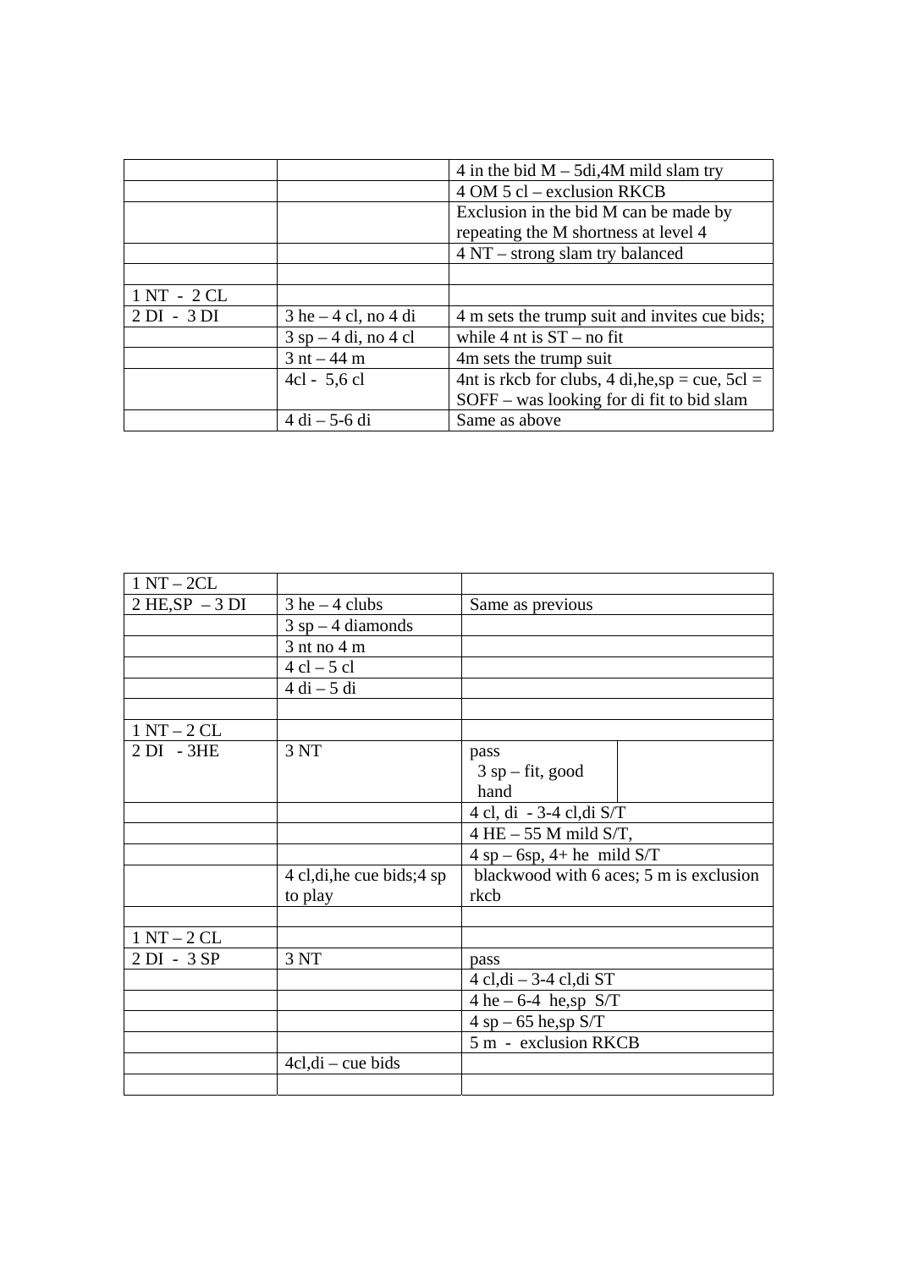|             |                           | 4 in the bid $M - 5di$ , 4M mild slam try          |
|-------------|---------------------------|----------------------------------------------------|
|             |                           | $4$ OM $5$ cl – exclusion RKCB                     |
|             |                           | Exclusion in the bid M can be made by              |
|             |                           | repeating the M shortness at level 4               |
|             |                           | 4 NT – strong slam try balanced                    |
|             |                           |                                                    |
| $1NT - 2CL$ |                           |                                                    |
| $2DI - 3DI$ | $3$ he $-4$ cl, no $4$ di | 4 m sets the trump suit and invites cue bids;      |
|             | $3$ sp $-4$ di, no 4 cl   | while 4 nt is $ST - no fit$                        |
|             | $3$ nt $-44$ m            | 4m sets the trump suit                             |
|             | $4cl - 5, 6 cl$           | 4nt is rkcb for clubs, 4 di, he, sp = cue, $5cl =$ |
|             |                           | $SOFF$ – was looking for di fit to bid slam        |
|             | $4$ di $- 5$ -6 di        | Same as above                                      |

| $1 NT - 2CL$      |                             |                                         |
|-------------------|-----------------------------|-----------------------------------------|
| $2 HE, SP - 3 DI$ | $3$ he $-4$ clubs           | Same as previous                        |
|                   | $3$ sp – 4 diamonds         |                                         |
|                   | $3$ nt no $4$ m             |                                         |
|                   | $4$ cl $-5$ cl              |                                         |
|                   | $4$ di $-5$ di              |                                         |
|                   |                             |                                         |
| $1 NT - 2 CL$     |                             |                                         |
| $2 DI - 3HE$      | 3 NT                        | pass                                    |
|                   |                             | $3$ sp – fit, good                      |
|                   |                             | hand                                    |
|                   |                             | 4 cl, di - 3-4 cl, di S/T               |
|                   |                             | $4$ HE $-$ 55 M mild S/T,               |
|                   |                             | $4$ sp – 6sp, 4+ he mild S/T            |
|                   | 4 cl, di, he cue bids; 4 sp | blackwood with 6 aces; 5 m is exclusion |
|                   | to play                     | rkcb                                    |
|                   |                             |                                         |
| $1NT - 2CL$       |                             |                                         |
| 2 DI - 3 SP       | 3 NT                        | pass                                    |
|                   |                             | $4$ cl,di $-3-4$ cl,di ST               |
|                   |                             | 4 he $-6-4$ he,sp S/T                   |
|                   |                             | $4$ sp $-65$ he, sp $S/T$               |
|                   |                             | 5 m - exclusion RKCB                    |
|                   | $4cl, di - cue bids$        |                                         |
|                   |                             |                                         |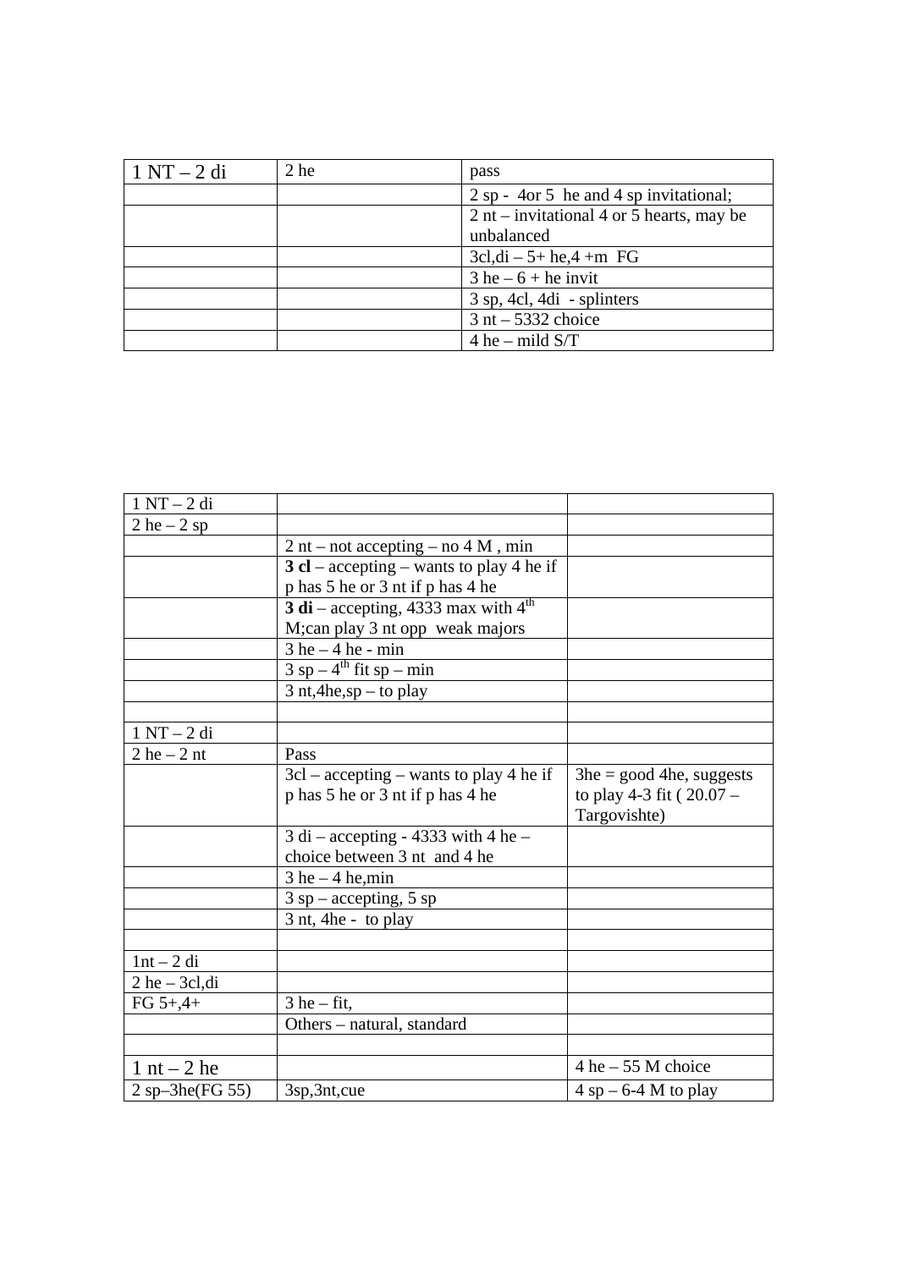| $1 \text{ NT} - 2 \text{ di}$ | 2 he | pass                                      |  |
|-------------------------------|------|-------------------------------------------|--|
|                               |      | 2 sp - 4 or 5 he and 4 sp invitational;   |  |
|                               |      | 2 nt – invitational 4 or 5 hearts, may be |  |
|                               |      | unbalanced                                |  |
|                               |      | $3c, di - 5 + he, 4 + m$ FG               |  |
|                               |      | $3$ he $-6$ + he invit                    |  |
|                               |      | $3$ sp, 4cl, 4di - splinters              |  |
|                               |      | $3$ nt $-5332$ choice                     |  |
|                               |      | 4 he – mild $S/T$                         |  |

| $1 NT - 2 di$      |                                           |                                          |
|--------------------|-------------------------------------------|------------------------------------------|
| $2 he - 2 sp$      |                                           |                                          |
|                    | $2$ nt – not accepting – no $4$ M, min    |                                          |
|                    | 3 cl – accepting – wants to play 4 he if  |                                          |
|                    | p has 5 he or 3 nt if p has 4 he          |                                          |
|                    | 3 di – accepting, 4333 max with $4^{th}$  |                                          |
|                    | M;can play 3 nt opp weak majors           |                                          |
|                    | $3$ he $-4$ he - min                      |                                          |
|                    | $3$ sp – 4 <sup>th</sup> fit sp – min     |                                          |
|                    | $3$ nt, 4he, sp – to play                 |                                          |
|                    |                                           |                                          |
| $1 NT - 2 di$      |                                           |                                          |
| $2$ he $-2$ nt     | Pass                                      |                                          |
|                    | $3cl - accepting - wants to play 4 he if$ | $3he = good$ 4he, suggests               |
|                    | p has 5 he or 3 nt if p has 4 he          | to play 4-3 fit (20.07 -<br>Targovishte) |
|                    | $3$ di – accepting - 4333 with 4 he –     |                                          |
|                    | choice between 3 nt and 4 he              |                                          |
|                    | $3$ he $-4$ he, min                       |                                          |
|                    | $3$ sp – accepting, 5 sp                  |                                          |
|                    | 3 nt, 4he - to play                       |                                          |
|                    |                                           |                                          |
| $1nt - 2di$        |                                           |                                          |
| $2$ he $-$ 3cl, di |                                           |                                          |
| $FG 5+,4+$         | $3$ he – fit,                             |                                          |
|                    | Others - natural, standard                |                                          |
|                    |                                           |                                          |
| $1$ nt $-2$ he     |                                           | $4$ he $-55$ M choice                    |
| $2$ sp-3he(FG 55)  | 3sp, 3nt, cue                             | $4$ sp – 6-4 M to play                   |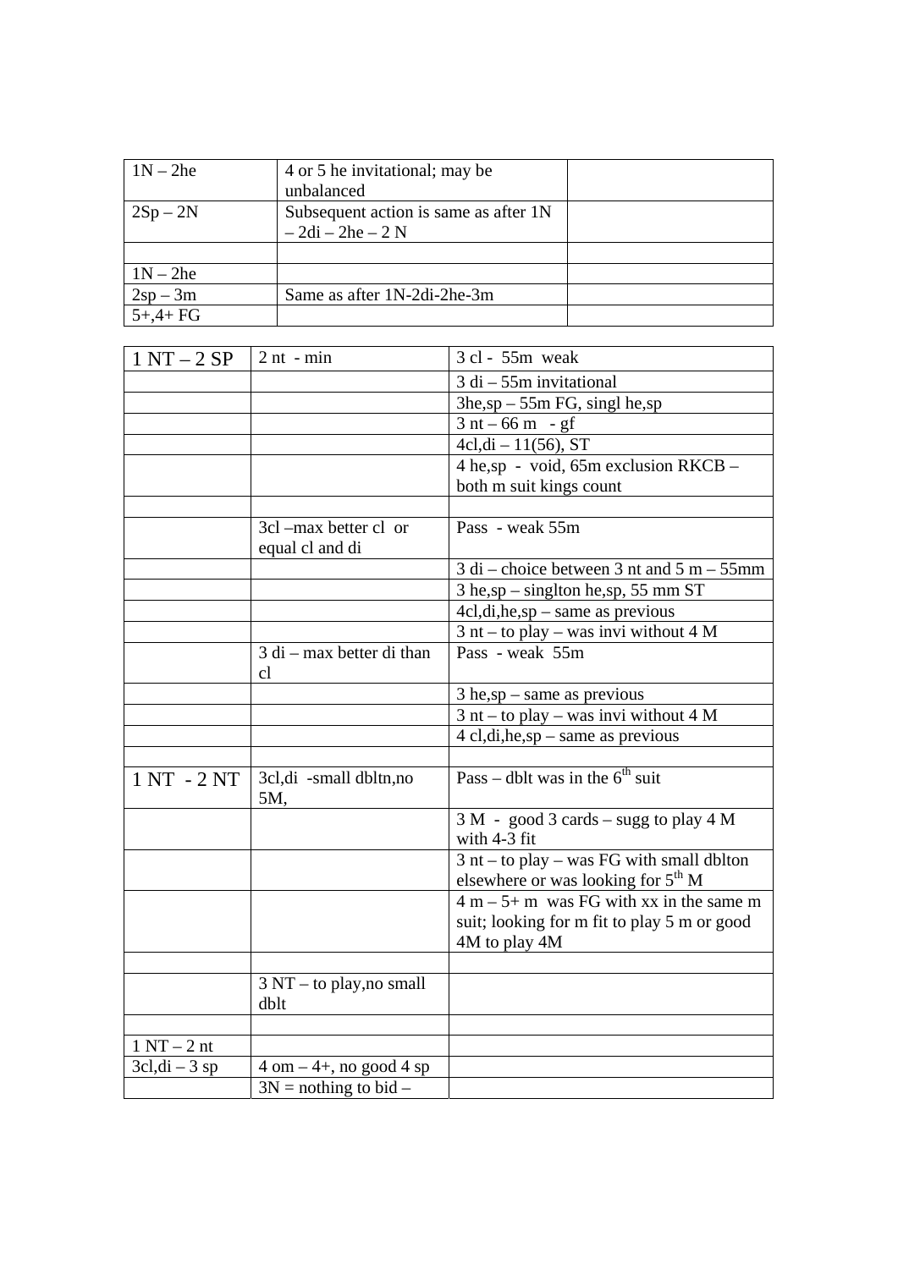| $1N - 2he$ | 4 or 5 he invitational; may be        |  |
|------------|---------------------------------------|--|
|            | unbalanced                            |  |
| $2Sp-2N$   | Subsequent action is same as after 1N |  |
|            | $-2di - 2he - 2N$                     |  |
|            |                                       |  |
| $1N - 2he$ |                                       |  |
| $2sp-3m$   | Same as after 1N-2di-2he-3m           |  |
| $5+,4+FG$  |                                       |  |

| $1 NT - 2 SP$    | $2$ nt - min                                  | 3 cl - 55m weak                                                                 |
|------------------|-----------------------------------------------|---------------------------------------------------------------------------------|
|                  |                                               | $\overline{3}$ di $-55$ m invitational                                          |
|                  |                                               | $3he, sp - 55m FG, singl he, sp$                                                |
|                  |                                               | $3 nt - 66 m - gf$                                                              |
|                  |                                               | $4cl, di - 11(56), ST$                                                          |
|                  |                                               | $4 \text{ he,sp} - \text{void}, 65 \text{m exclusion RKCB} -$                   |
|                  |                                               | both m suit kings count                                                         |
|                  |                                               |                                                                                 |
|                  | 3cl -max better cl or<br>equal cl and di      | Pass - weak 55m                                                                 |
|                  |                                               | $3$ di – choice between 3 nt and $5$ m – $55$ mm                                |
|                  |                                               | $3$ he,sp – singlton he,sp, 55 mm ST                                            |
|                  |                                               | $4cl, di, he, sp - same as previous$                                            |
|                  |                                               | $3$ nt – to play – was invi without 4 M                                         |
|                  | $3$ di – max better di than<br>cl             | Pass - weak 55m                                                                 |
|                  |                                               | $3$ he,sp – same as previous                                                    |
|                  |                                               | $3$ nt – to play – was invi without 4 M                                         |
|                  |                                               | 4 cl,di,he,sp – same as previous                                                |
|                  |                                               |                                                                                 |
| 1 NT - 2 NT      | 3cl,di -small dbltn,no<br>5M,                 | Pass – dblt was in the $6th$ suit                                               |
|                  |                                               | $3 M - \text{good } 3 \text{ cards} - \text{sugg to play } 4 M$<br>with 4-3 fit |
|                  |                                               | $3$ nt – to play – was FG with small dblton                                     |
|                  |                                               | elsewhere or was looking for $5th$ M                                            |
|                  |                                               | $4 m - 5 + m$ was FG with xx in the same m                                      |
|                  |                                               | suit; looking for m fit to play 5 m or good<br>4M to play 4M                    |
|                  |                                               |                                                                                 |
|                  | $3 \text{ NT}$ – to play, no small<br>dblt    |                                                                                 |
|                  |                                               |                                                                                 |
| $1 N T - 2 nt$   |                                               |                                                                                 |
| $3cl, di - 3 sp$ | $4 \text{ om} - 4 +$ , no good $4 \text{ sp}$ |                                                                                 |
|                  | $3N =$ nothing to bid –                       |                                                                                 |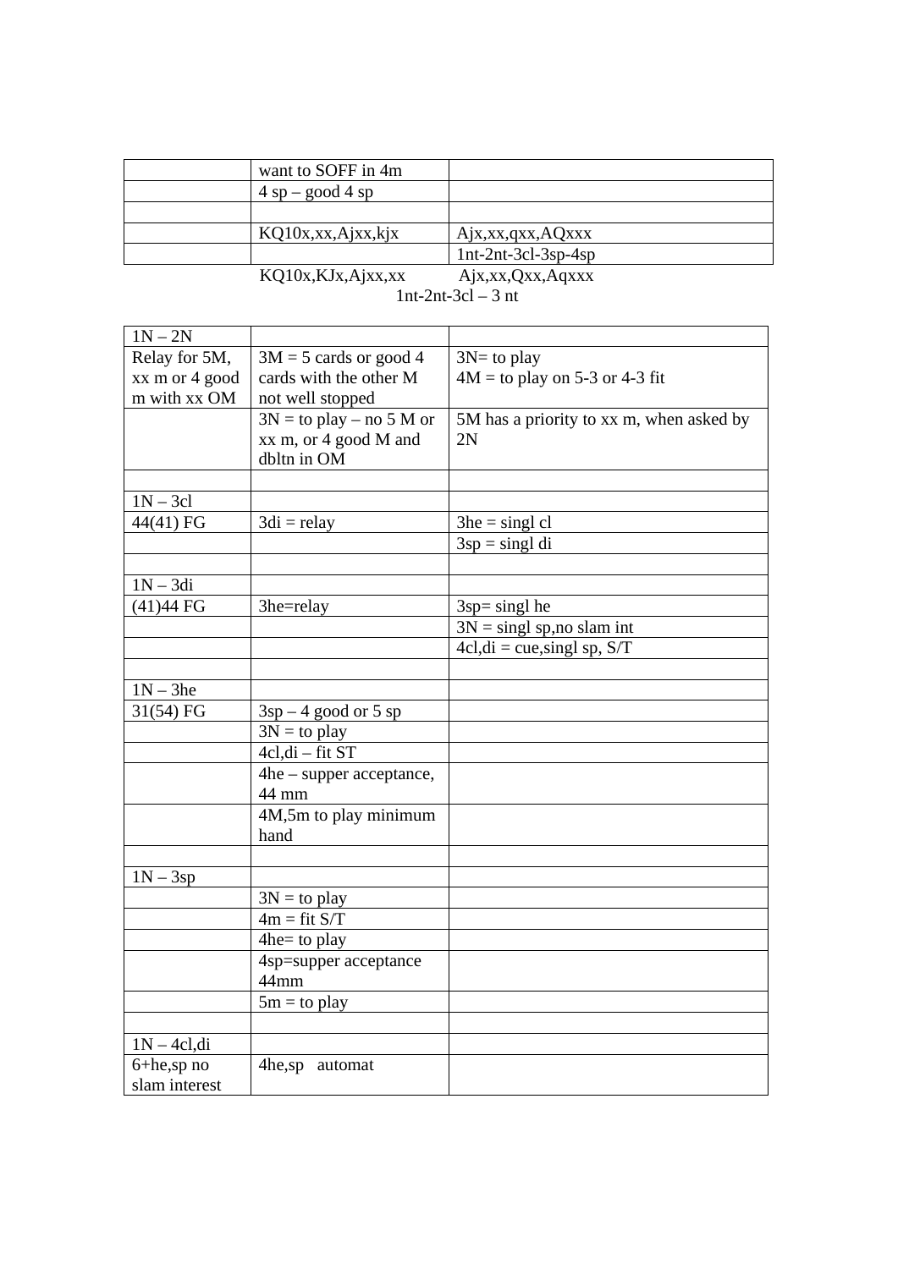| want to SOFF in 4m   |                       |
|----------------------|-----------------------|
| $4$ sp – good 4 sp   |                       |
|                      |                       |
| KQ10x, xx, Ajxx, kjx | Ajx, xx, qxx, AQxxx   |
|                      | $1nt-2nt-3cl-3sp-4sp$ |
| KQ10x, KJx, Ajxx, xx | Ajx, xx, Qxx, Aqxxx   |

| $\mathbf{NQ}$ $\mathbf{U}\mathbf{A}$ , $\mathbf{N}$ , $\mathbf{N}$ , $\mathbf{N}$ , $\mathbf{N}$ | $\mathbf{1}$ y $\mathbf{A}, \mathbf{A}$ |
|--------------------------------------------------------------------------------------------------|-----------------------------------------|
|                                                                                                  | $1nt-2nt-3cl-3nt$                       |

| $1N - 2N$      |                            |                                          |
|----------------|----------------------------|------------------------------------------|
| Relay for 5M,  | $3M = 5$ cards or good 4   | $3N=$ to play                            |
| xx m or 4 good | cards with the other M     | $4M =$ to play on 5-3 or 4-3 fit         |
| m with xx OM   | not well stopped           |                                          |
|                | $3N =$ to play – no 5 M or | 5M has a priority to xx m, when asked by |
|                | xx m, or 4 good M and      | 2N                                       |
|                | dbltn in OM                |                                          |
|                |                            |                                          |
| $1N - 3cl$     |                            |                                          |
| 44(41) FG      | $3di =$ relay              | $3he = singlcl$                          |
|                |                            | $3sp = sing1 di$                         |
|                |                            |                                          |
| $1N - 3di$     |                            |                                          |
| $(41)44$ FG    | 3he=relay                  | $3sp = singl$ he                         |
|                |                            | $3N =$ singl sp, no slam int             |
|                |                            | $4cl, di = cue, singl sp, S/T$           |
|                |                            |                                          |
| $1N - 3he$     |                            |                                          |
| 31(54) FG      | $3sp-4$ good or 5 sp       |                                          |
|                | $3N =$ to play             |                                          |
|                | $4cl$ , di – fit ST        |                                          |
|                | 4he – supper acceptance,   |                                          |
|                | 44 mm                      |                                          |
|                | 4M,5m to play minimum      |                                          |
|                | hand                       |                                          |
|                |                            |                                          |
| $1N - 3sp$     |                            |                                          |
|                | $3N =$ to play             |                                          |
|                | $4m = fit S/T$             |                                          |
|                | 4he= to play               |                                          |
|                | 4sp=supper acceptance      |                                          |
|                | 44mm                       |                                          |
|                | $5m =$ to play             |                                          |
|                |                            |                                          |
| $1N - 4cl, di$ |                            |                                          |
| 6+he,sp no     | 4he,sp automat             |                                          |
| slam interest  |                            |                                          |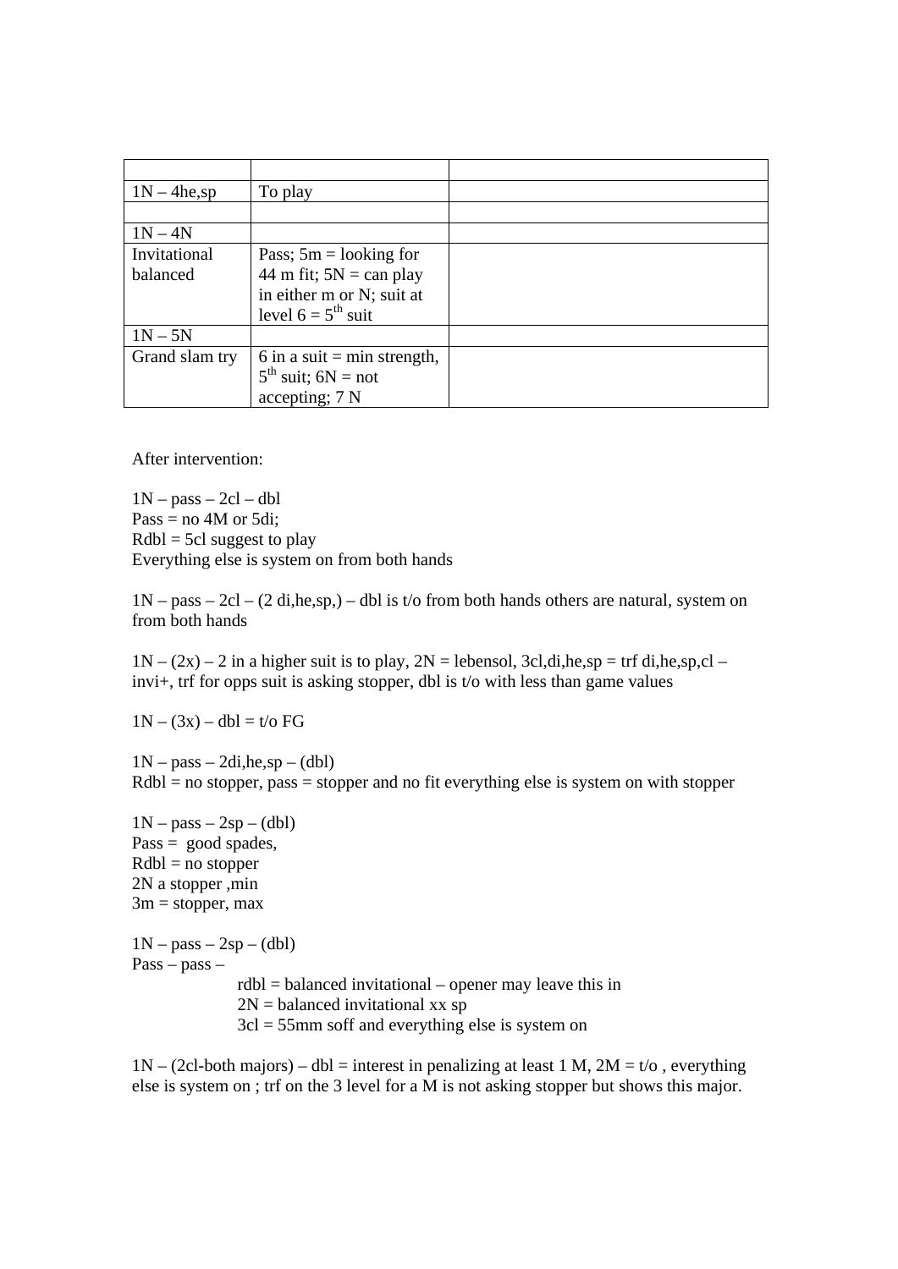| $1N - 4he$ ,sp | To play                             |  |
|----------------|-------------------------------------|--|
|                |                                     |  |
| $1N - 4N$      |                                     |  |
| Invitational   | Pass; $5m =$ looking for            |  |
| balanced       | 44 m fit; $5N = can play$           |  |
|                | in either m or N; suit at           |  |
|                | level $6 = 5^{th}$ suit             |  |
| $1N - 5N$      |                                     |  |
| Grand slam try | 6 in a suit = min strength,         |  |
|                | $5^{\text{th}}$<br>suit; $6N = not$ |  |
|                | accepting; 7 N                      |  |

After intervention:

 $1N - pass - 2cl - dbl$ Pass = no 4M or 5di;  $Rdbl = 5cl$  suggest to play Everything else is system on from both hands

 $1N - pass - 2cl - (2 di,he, sp) - dbl$  is t/o from both hands others are natural, system on from both hands

 $1N - (2x) - 2$  in a higher suit is to play,  $2N =$  lebensol, 3cl,di,he,sp = trf di,he,sp,cl – invi+, trf for opps suit is asking stopper, dbl is t/o with less than game values

 $1N - (3x) - db = t$  /o FG

 $1N - pass - 2di, he, sp - (dbl)$  $Rdbl = no stopper, pass = stopper and no fit everything else is system on with stopper.$ 

 $1N - pass - 2sp - (dbl)$  $Pass = good spades,$  $Rdbl = no stopper$ 2N a stopper ,min  $3m = stopper, max$  $1N - pass - 2sp - (dbl)$ Pass – pass – rdbl = balanced invitational – opener may leave this in  $2N =$  balanced invitational xx sp 3cl = 55mm soff and everything else is system on

 $1N - (2c1 - both \text{ majors}) - db = interest in \text{ penalizing at least } 1 M$ ,  $2M = t/o$ , everything else is system on ; trf on the 3 level for a  $\overline{M}$  is not asking stopper but shows this major.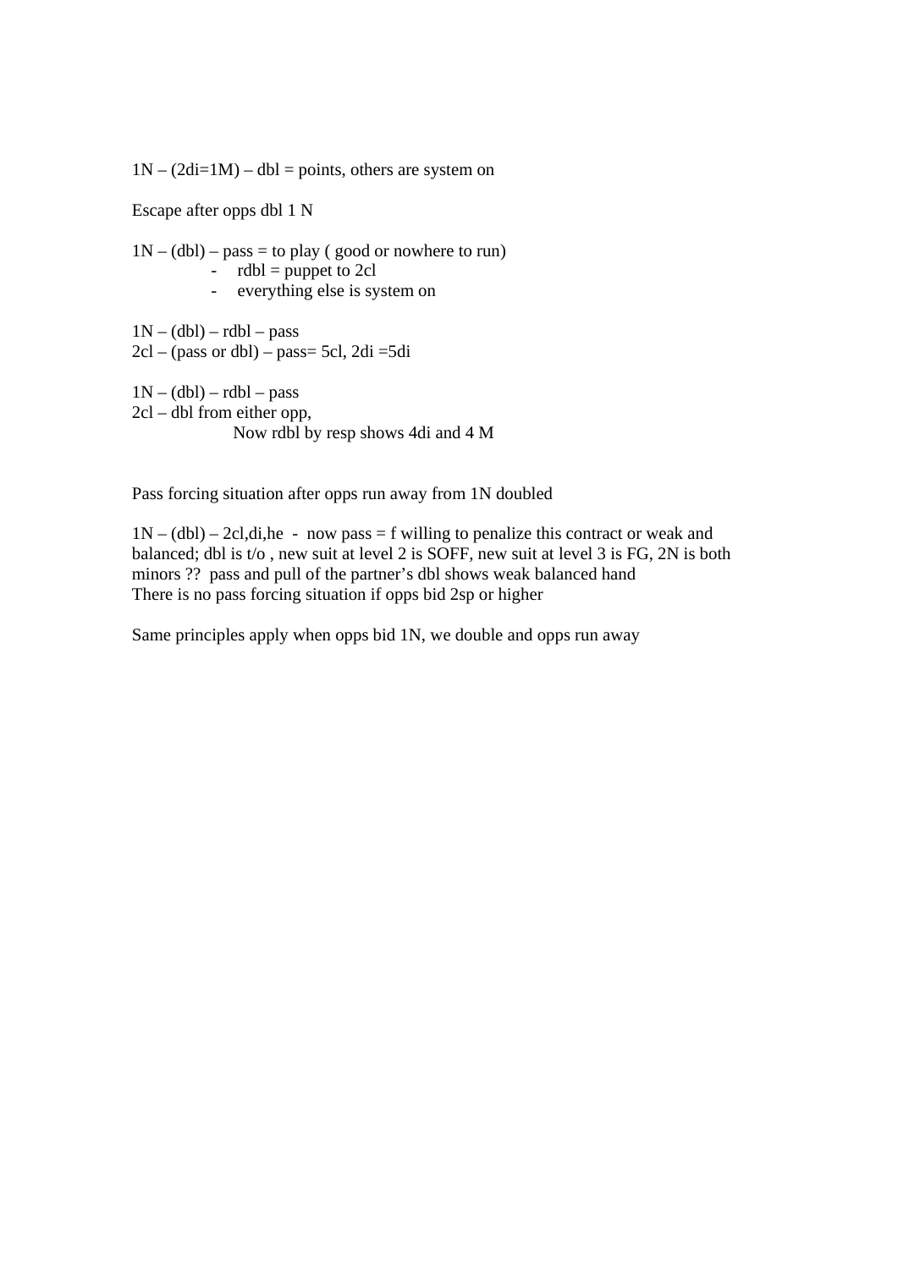$1N - (2di=1M) - dbl =$  points, others are system on

Escape after opps dbl 1 N

 $1N - (dbl) - pass = to play (good or nowhere to run)$ -  $rdbl = \text{puppet to 2cl}$ - everything else is system on  $1N - (dbl) - rdbl - pass$  $2cl - (pass or dbl) - pass = 5cl$ ,  $2di = 5di$ 

 $1N - (dbl) - rdbl - pass$ 2cl – dbl from either opp, Now rdbl by resp shows 4di and 4 M

Pass forcing situation after opps run away from 1N doubled

 $1N - (dbl) - 2cl,di,he - now pass = f willing to penalize this contract or weak and$ balanced; dbl is t/o , new suit at level 2 is SOFF, new suit at level 3 is FG, 2N is both minors ?? pass and pull of the partner's dbl shows weak balanced hand There is no pass forcing situation if opps bid 2sp or higher

Same principles apply when opps bid 1N, we double and opps run away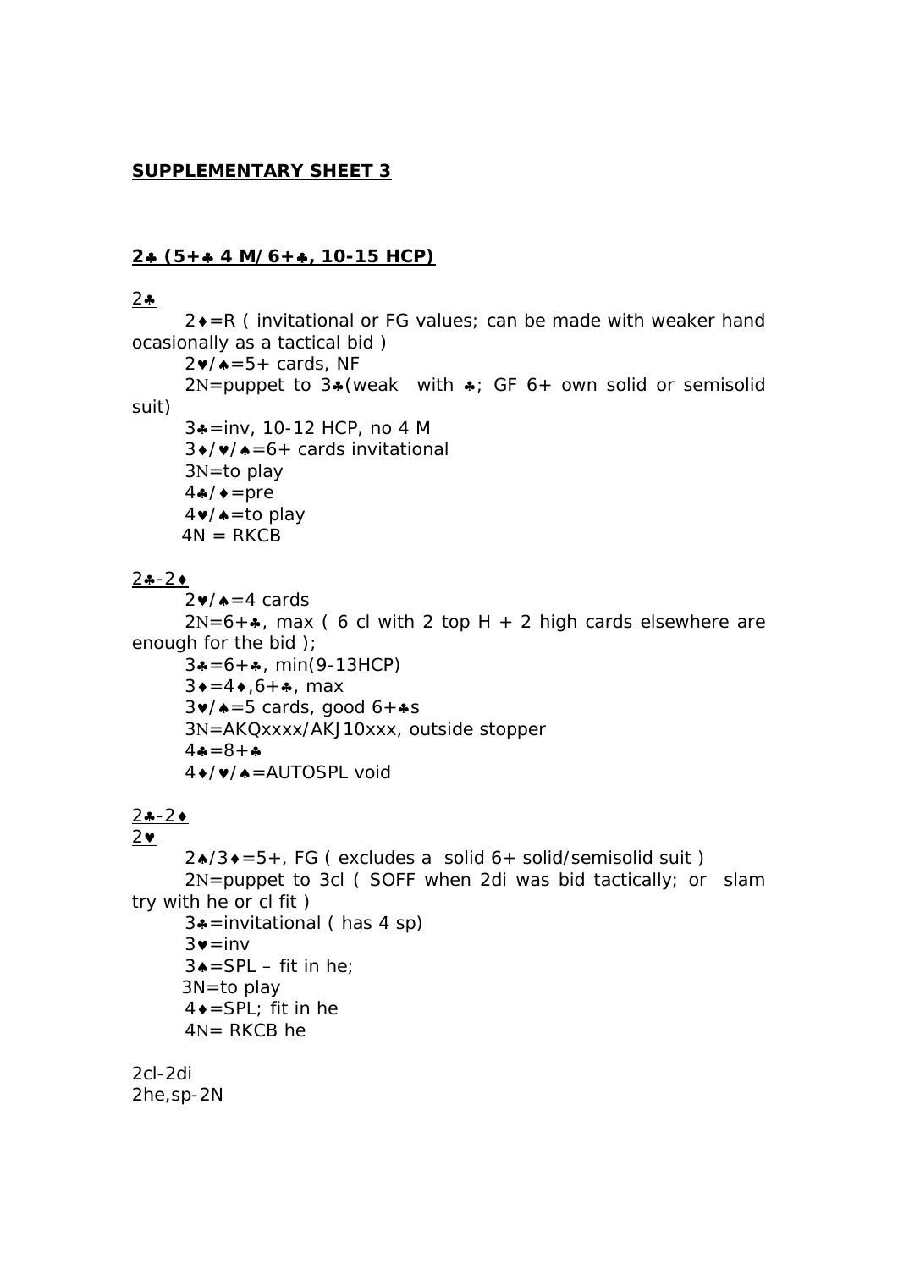#### **SUPPLEMENTARY SHEET 3**

#### **2 (5+ 4 M/6+, 10-15 HCP)**

#### $2 - 2$

 $2 \cdot = R$  ( invitational or FG values; can be made with weaker hand ocasionally as a tactical bid )

 $2\nu/\lambda=5+$  cards, NF

 $2N =$ puppet to  $3*($ weak with  $*$ ; GF 6+ own solid or semisolid suit)

 3=inv, 10-12 HCP, no 4 M  $3\bullet/\bullet/4=6+$  cards invitational  $3N=$ to play  $4\cdot/$   $\bullet$  = pre  $4 \cdot / \cdot = \text{to play}$  $4N = RKCB$ 

#### $2 - 2$

 $2\nu/\lambda = 4$  cards

 $2N=6+$ , max (6 cl with 2 top H + 2 high cards elsewhere are enough for the bid );

```
3*-6+, min(9-13HCP)
3 \div = 4 \div 6 + 4, max
3\blacktriangleright/\blacktriangle = 5 cards, good 6 + \clubsuit s3N=AKQxxxx/AKJ10xxx, outside stopper
4 - 8 + -4 +/ v / ▲ = AUTOSPL void
```
#### $2 - 2$

#### $2\bullet$

 $2\angle{}/3\angle{=}5+$ , FG ( excludes a solid 6+ solid/semisolid suit )  $2N =$  puppet to 3cl (SOFF when 2di was bid tactically; or slam try with he or cl fit ) 3=invitational ( has 4 sp)  $3\bullet$  = inv

 $3 \triangle =$ SPL – fit in he; 3N=to play  $4 \bullet =$ SPL; fit in he  $4N = RKCB$  he

2cl-2di 2he,sp-2N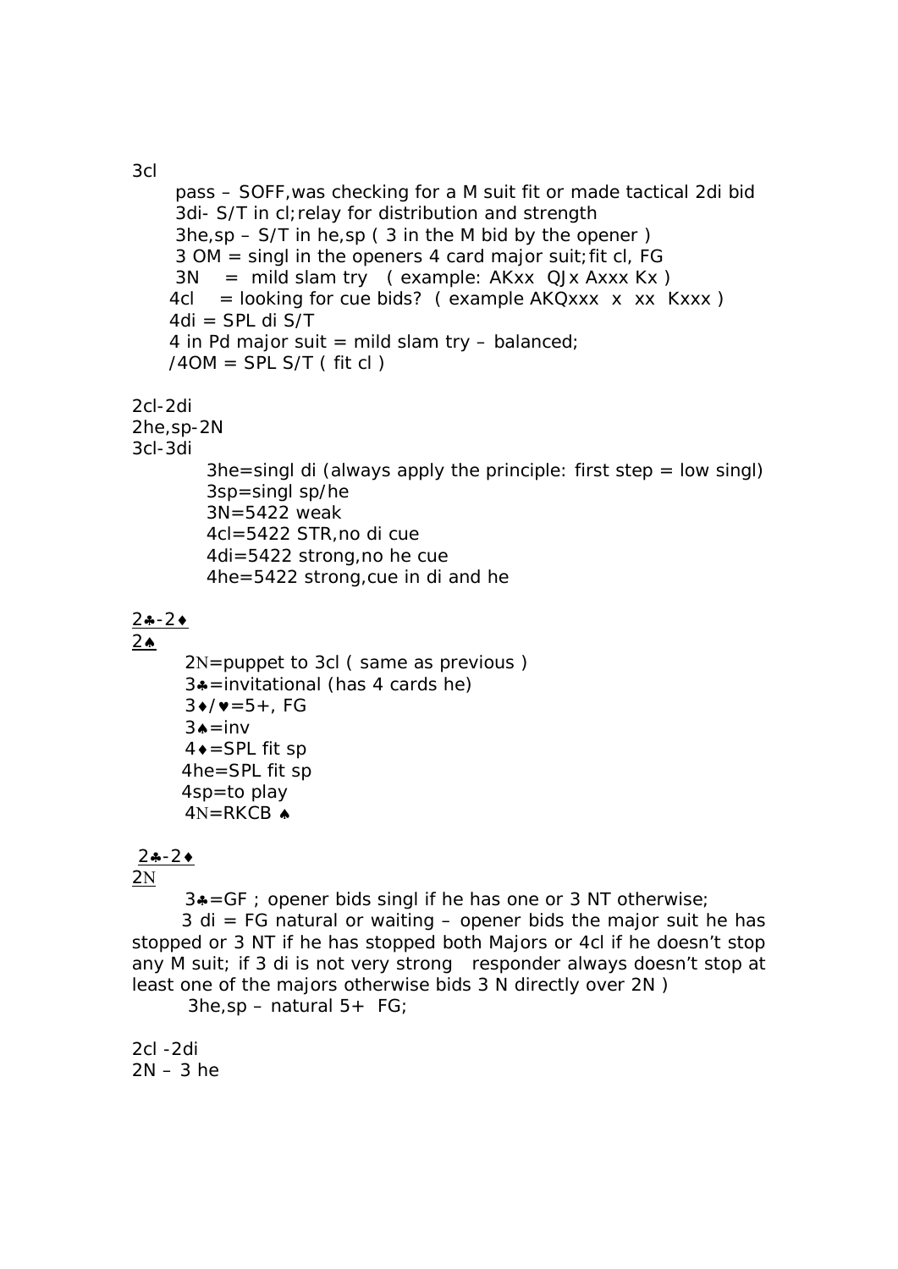3cl

```
 pass – SOFF,was checking for a M suit fit or made tactical 2di bid 
     3di- S/T in cl; relay for distribution and strength
     3he, sp - S/T in he,sp (3 in the M bid by the opener)
      3 OM = singl in the openers 4 card major suit;fit cl, FG 
     3N = mild slam try (example: AKxx QJx Axxx Kx)
    4cl = looking for cue bids? ( example AKQxxx \times xx Kxxx )
    4di = SPL di S/T
    4 in Pd major suit = mild slam try - balanced;
    /4OM = SPL S/T (fit cl)2cl-2di 
2he,sp-2N 
3cl-3di 
        3he=singl di (always apply the principle: first step = low singl)
         3sp=singl sp/he 
         3N=5422 weak 
         4cl=5422 STR,no di cue 
         4di=5422 strong,no he cue 
         4he=5422 strong,cue in di and he 
2 - 22 \triangle2N =puppet to 3cl ( same as previous )
      3 = invitational (has 4 cards he)
      3/(125+7)3 \triangle = \text{inv}4 \bullet =SPL fit sp
       4he=SPL fit sp 
       4sp=to play 
      4N=RKCB \triangle2 - 22N
```
 $3* = GF$ ; opener bids singl if he has one or 3 NT otherwise;

 $3$  di = FG natural or waiting – opener bids the major suit he has stopped or 3 NT if he has stopped both Majors or 4cl if he doesn't stop any M suit; if 3 di is not very strong responder always doesn't stop at least one of the majors otherwise bids 3 N directly over 2N )

 $3he$ , sp – natural  $5+ FG$ ;

2cl -2di  $2N - 3$  he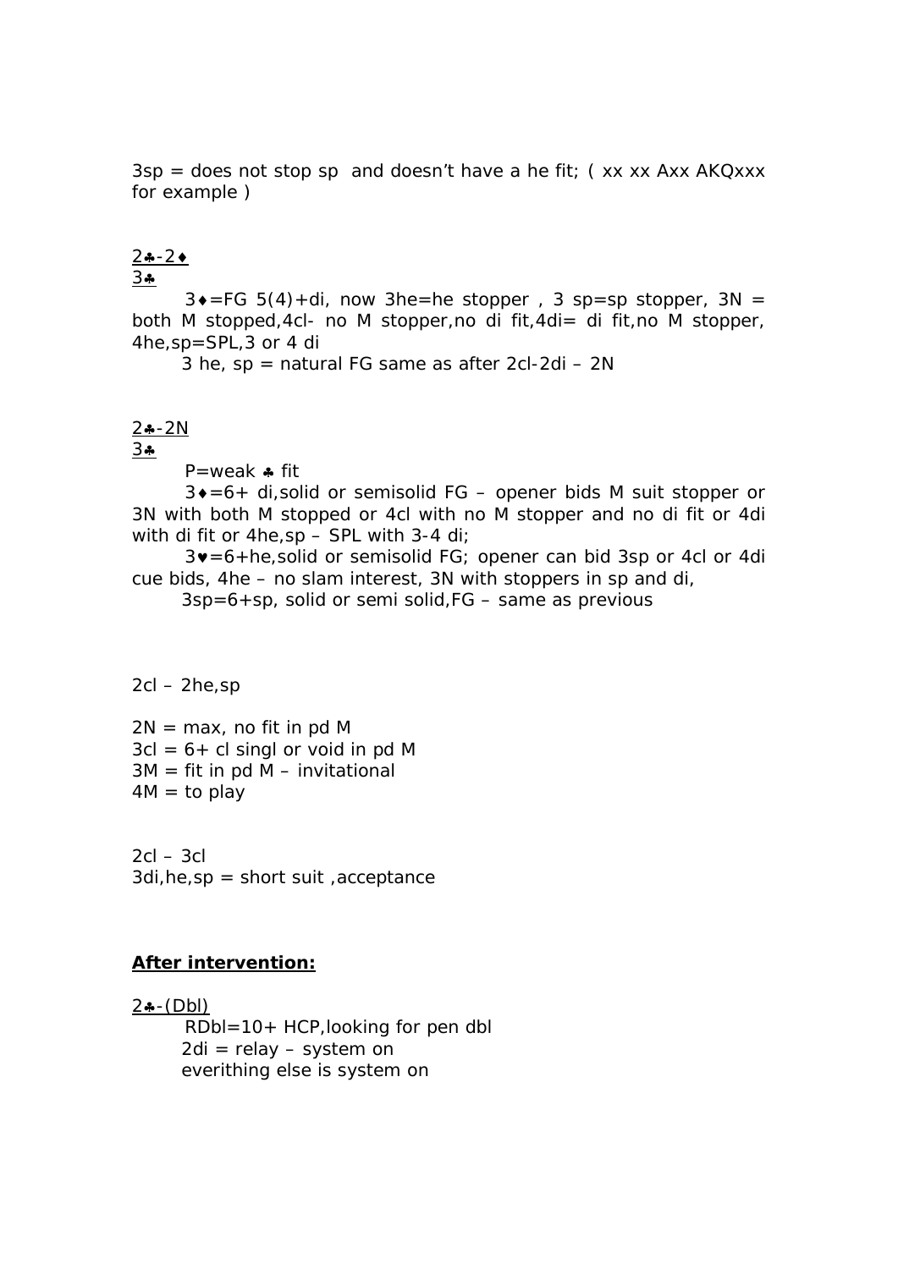$3sp =$  does not stop sp and doesn't have a he fit; (xx xx Axx AKQxxx) for example )

#### $2 - 2$

#### $34$

 $3\bullet = FG 5(4) + di$ , now 3he=he stopper, 3 sp=sp stopper, 3N = both M stopped,4cl- no M stopper,no di fit,4di= di fit,no M stopper, 4he,sp=SPL,3 or 4 di

3 he,  $sp =$  natural FG same as after 2cl-2di – 2N

#### $2 - 2N$

#### $34$

P=weak  $\clubsuit$  fit

 $3 \cdot 56 +$  di, solid or semisolid FG – opener bids M suit stopper or 3N with both M stopped or 4cl with no M stopper and no di fit or 4di with di fit or 4he,sp – SPL with 3-4 di;

 $3v = 6 + he$ , solid or semisolid FG; opener can bid 3sp or 4cl or 4di cue bids, 4he – no slam interest, 3N with stoppers in sp and di,

 $3sp=6+sp$ , solid or semi solid,  $FG$  – same as previous

#### $2cl - 2he$ , sp

 $2N = max$ , no fit in pd M  $3cl = 6 + cl$  singl or void in pd M  $3M = fit$  in pd M – invitational  $4M = to play$ 

 $2cI - 3cI$ 3di,he,sp = short suit ,acceptance

#### **After intervention:**

 $2 - (Db)$  RDbl=10+ HCP,looking for pen dbl 2di = relay – system on everithing else is system on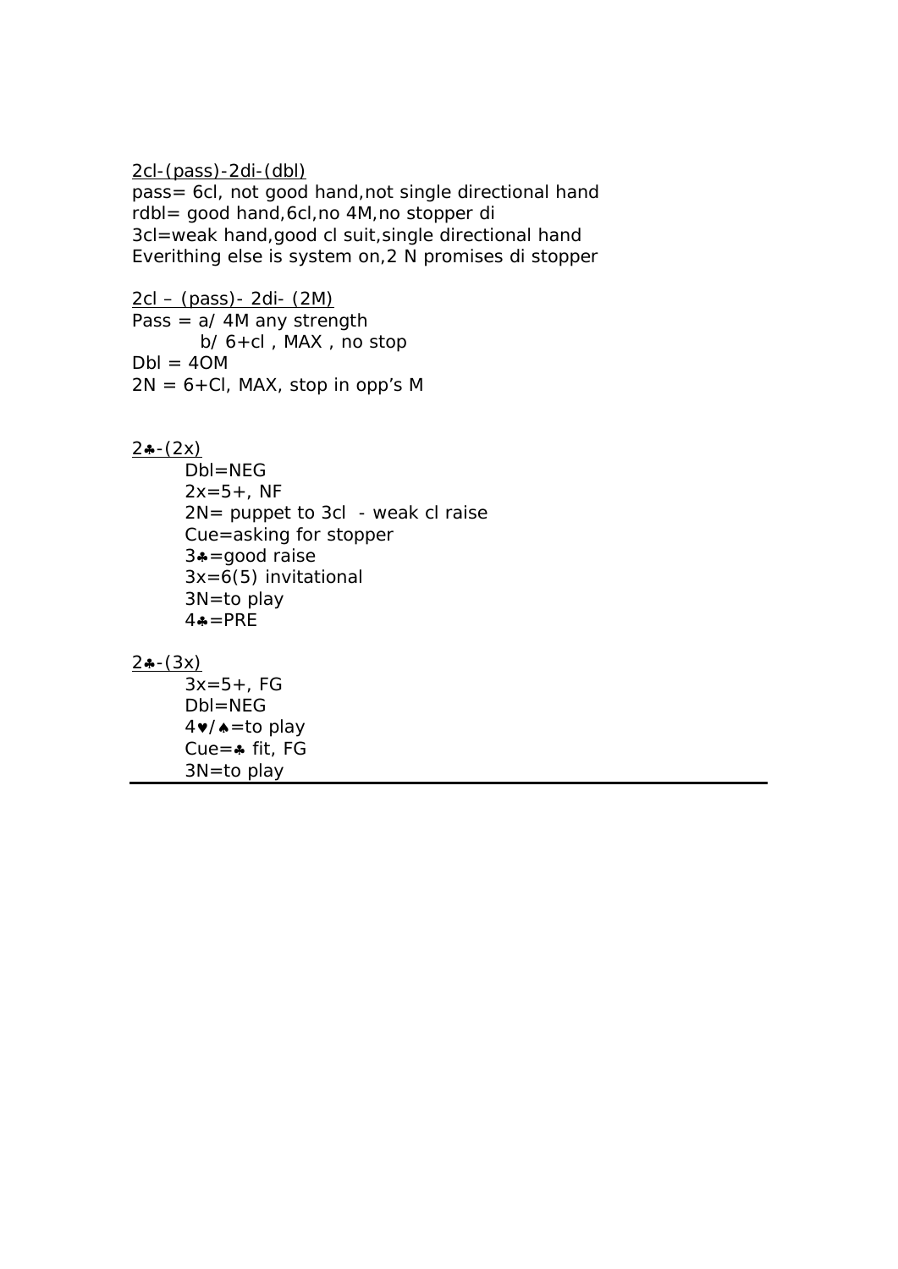2cl-(pass)-2di-(dbl)

pass= 6cl, not good hand,not single directional hand rdbl= good hand,6cl,no 4M,no stopper di 3cl=weak hand,good cl suit,single directional hand Everithing else is system on,2 N promises di stopper

2cl – (pass)- 2di- (2M) Pass  $= a/ 4M$  any strength b/ 6+cl , MAX , no stop  $DbI = 40M$  $2N = 6 + Cl$ , MAX, stop in opp's M

 $2 - (2x)$ 

 Dbl=NEG  $2x=5+$ , NF 2N= puppet to 3cl - weak cl raise Cue=asking for stopper  $3* =$ good raise 3x=6(5) invitational 3N=to play  $4\bullet = PRE$ 

 $2(-3x)$ 

 $3x=5+.$  FG Dbl=NEG  $4 \cdot / \cdot = \text{to play}$ Cue= $\clubsuit$  fit, FG 3N=to play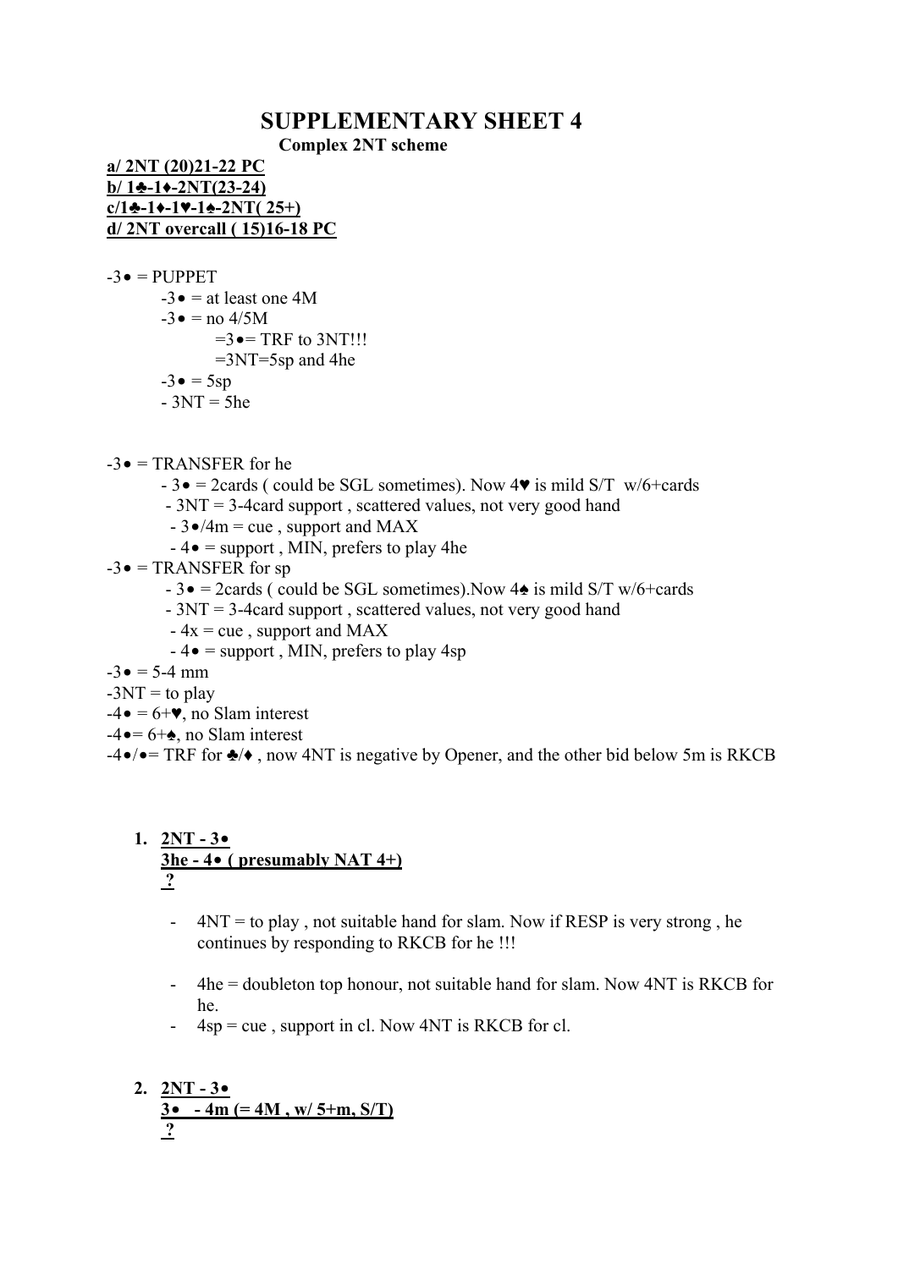# **SUPPLEMENTARY SHEET 4 Complex 2NT scheme**

**a/ 2NT (20)21-22 PC b/ 1♣-1♦-2NT(23-24)**  $c/1$  $\div$ **-1** $\div$ **-1** $\div$ **-2NT( 25+) d/ 2NT overcall ( 15)16-18 PC**

 $-3 \bullet = PIJPPET$ 

 $-3 \bullet =$  at least one 4M  $-3 \bullet =$  no 4/5M  $=3 \bullet = \text{TRF}$  to 3NT!!!  $=3NT=5sp$  and 4he  $-3 \bullet = 5sp$  $-3NT = 5he$ 

 $-3 \bullet = \text{TRANSFER}$  for he

- $-3\bullet$  = 2cards ( could be SGL sometimes). Now 4 $\bullet$  is mild S/T w/6+cards
- 3NT = 3-4card support , scattered values, not very good hand
- $-3\bullet/4m = cue$ , support and MAX
- $-4\bullet$  = support, MIN, prefers to play 4he
- $-3 \bullet = \text{TRANSFER}$  for sp
	- 3• = 2cards ( could be SGL sometimes).Now 4♠ is mild S/T w/6+cards
	- 3NT = 3-4card support , scattered values, not very good hand
	- $-4x = cue$ , support and MAX
	- $-4\bullet$  = support, MIN, prefers to play 4sp

 $-3 \bullet = 5 - 4 \text{ mm}$ 

- $-3NT =$  to play
- $-4 \bullet = 6 + \bullet$ , no Slam interest
- $-4 \bullet = 6 + \bullet$ , no Slam interest

 $-4\bullet/\bullet = \text{TRF}$  for  $\clubsuit/\bullet$ , now 4NT is negative by Opener, and the other bid below 5m is RKCB

#### **1. 2NT - 3• 3he - 4• ( presumably NAT 4+) ?**

- 4NT = to play , not suitable hand for slam. Now if RESP is very strong , he continues by responding to RKCB for he !!!
- 4he = doubleton top honour, not suitable hand for slam. Now 4NT is RKCB for he.
- $-4sp = cue$ , support in cl. Now 4NT is RKCB for cl.

2. 
$$
\frac{2NT - 3\bullet}{3\bullet - 4m} = 4M
$$
, w/5+m, S/T)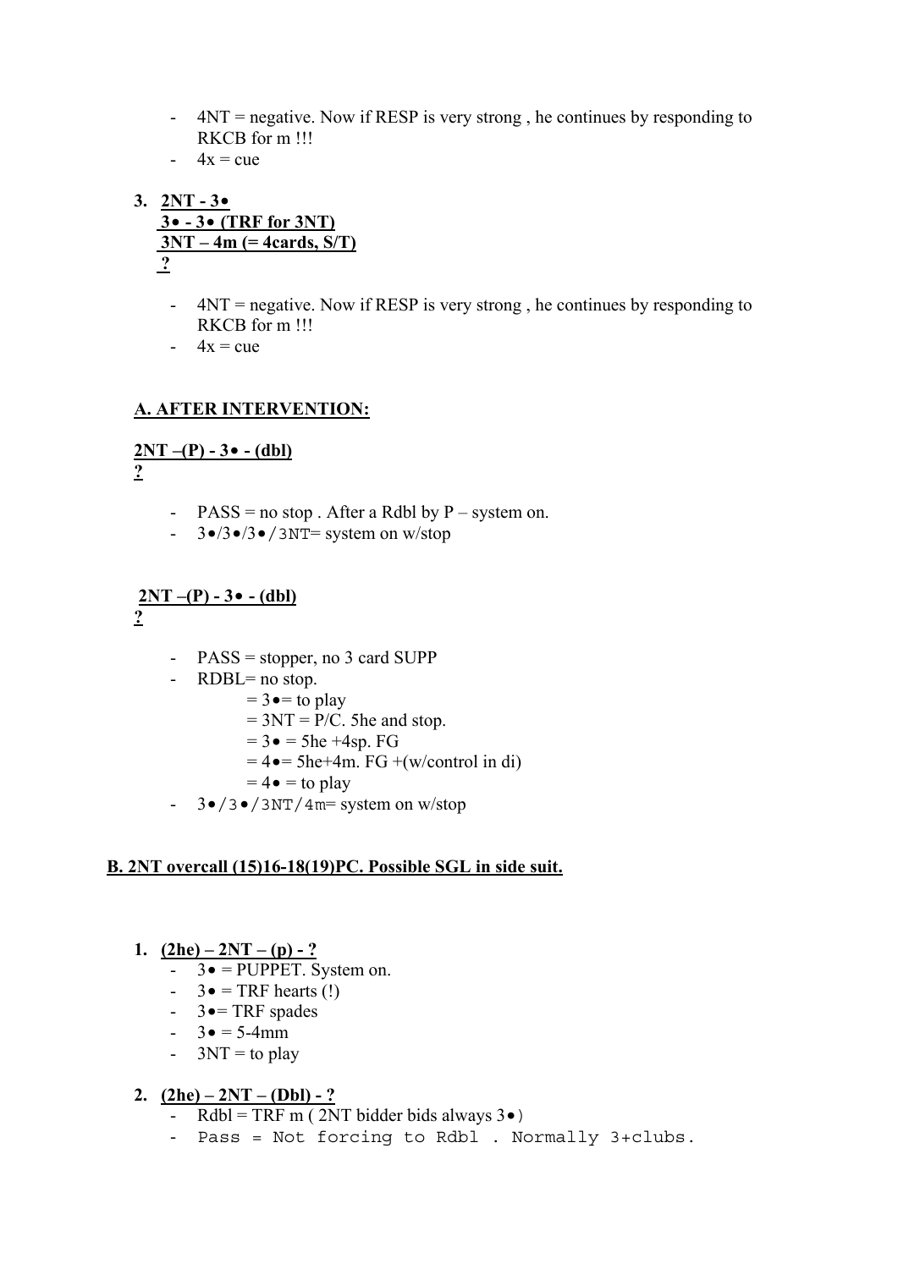- 4NT = negative. Now if RESP is very strong , he continues by responding to RKCB for m !!!
- $-4x = cue$
- **3. 2NT 3• 3• - 3• (TRF for 3NT) 3NT – 4m (= 4cards, S/T) ?**
	- 4NT = negative. Now if RESP is very strong , he continues by responding to RKCB for m !!!
	- $-4x = cue$

#### **A. AFTER INTERVENTION:**

# **2NT –(P) - 3• - (dbl)**

**?**

- $PASS = no stop$ . After a Rdbl by  $P system on$ .
- $-$  3•/3•/3•/3NT= system on w/stop

#### $2NT - (P) - 3$  **•**  $-$  (dbl) **?**

- PASS = stopper, no 3 card SUPP
- RDBL= no stop.
	- $= 3 \cdot =$  to play
		- $= 3NT = P/C$ . 5he and stop.
		- $= 3 \bullet = 5he + 4sp. FG$
		- $= 4 \cdot = 5$ he+4m. FG +(w/control in di)
		- $= 4 \bullet =$  to play
- $-$  3•/3•/3NT/4m= system on w/stop

#### **B. 2NT overcall (15)16-18(19)PC. Possible SGL in side suit.**

#### 1.  $(2he) - 2NT - (p) - ?$

- $-$  3 $\bullet$  = PUPPET. System on.
- $3 \bullet = \text{TRF}$  hearts (!)
- $-$  3  $\bullet$  = TRF spades
- $3 \bullet = 5 4$ mm
- $-$  3NT = to play

#### 2.  $(2he) - 2NT - (Dbl) - ?$

- Rdbl = TRF m (2NT bidder bids always  $3\bullet$ )
- Pass = Not forcing to Rdbl . Normally 3+clubs.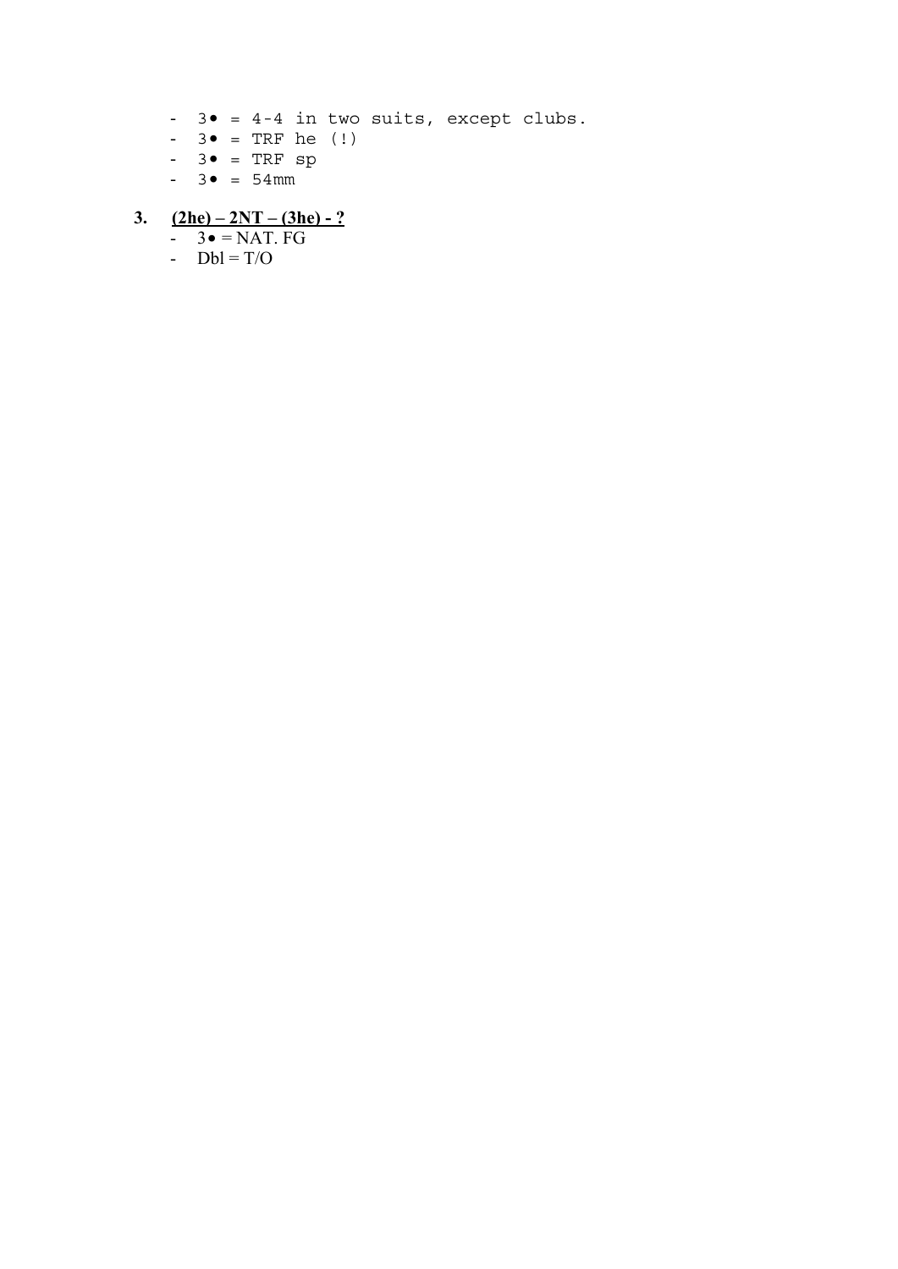- 3• = 4-4 in two suits, except clubs.
- $3 \bullet$  = TRF he (!)
- $3 \bullet = TRF \text{ sp}$
- $3 \bullet = 54 \text{mm}$

## **3. (2he) – 2NT – (3he) - ?**

- $3 \bullet = \overline{\text{NAT. FG}}$
- $\overline{Db} = T/O$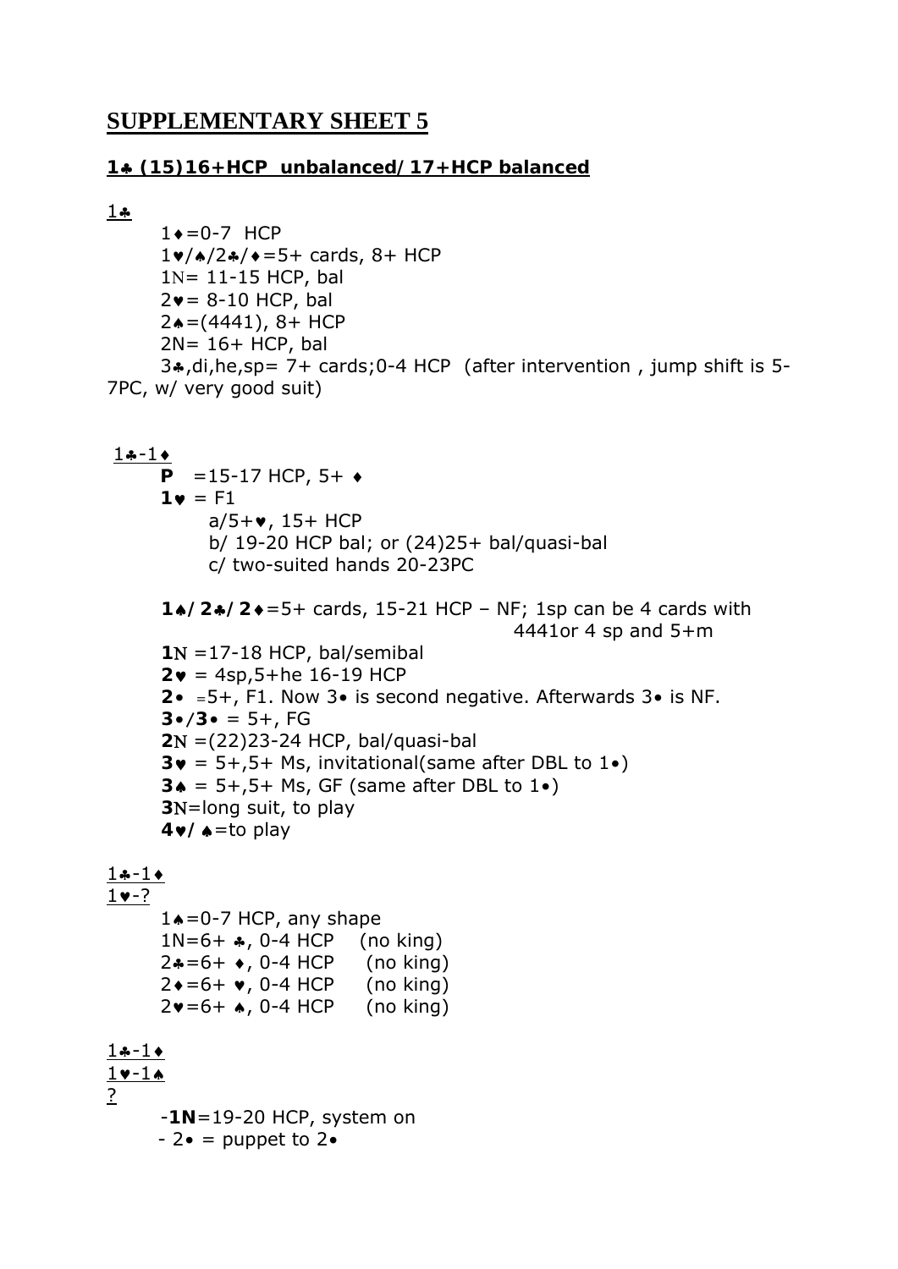# **SUPPLEMENTARY SHEET 5**

#### **1 (15)16+HCP unbalanced/17+HCP balanced**

```
1.4
```

```
1\bullet = 0-7 HCP
       1 \cdot \sqrt{2}/2 \cdot \sqrt{2} = 5 + \text{ cards}, 8 + \text{HCP}1N = 11-15 HCP, bal
       2v = 8-10 HCP, bal
       2<sup>\bullet</sup> = (4441), 8+ HCP
       2N = 16 + HCP, bal
       3.,di,he,sp= 7+ cards;0-4 HCP (after intervention, jump shift is 5-
7PC, w/ very good suit)
```

```
1 - 1P = 15-17 HCP, 5+1 \bullet = F1a/5 + v, 15+ HCP
             b/ 19-20 HCP bal; or (24)25+ bal/quasi-bal 
            c/ two-suited hands 20-23PC 
      1/2/2=5+ cards, 15-21 HCP – NF; 1sp can be 4 cards with 
                                               4441or 4 sp and 5+m 
      1N = 17-18 HCP, bal/semibal
      2 \cdot = 4sp, 5+he 16-19 HCP
      2• =5+, F1. Now 3• is second negative. Afterwards 3• is NF. 
      3 \cdot 7 \cdot 3 \cdot 5 = 5 + 72 =(22)23-24 HCP, bal/quasi-bal 
      3\mathbf{v} = 5+, 5+ Ms, invitational(same after DBL to 1\mathbf{e})
      3 \triangleq 5 + .5 + Ms, GF (same after DBL to 1 \triangleleft)
      3N=long suit, to play
      4/=to play 
1 - 11 - ?1\bullet = 0-7 HCP, any shape
      1N=6+ \clubsuit, 0-4 HCP (no king)
      2*-6+, 0-4 HCP (no king)
      2 \cdot 5 + \cdot 0.4 HCP (no king)
      2v = 6 + 10 - 4 HCP (no king)
1 - 11 - 1?
```
-**1N**=19-20 HCP, system on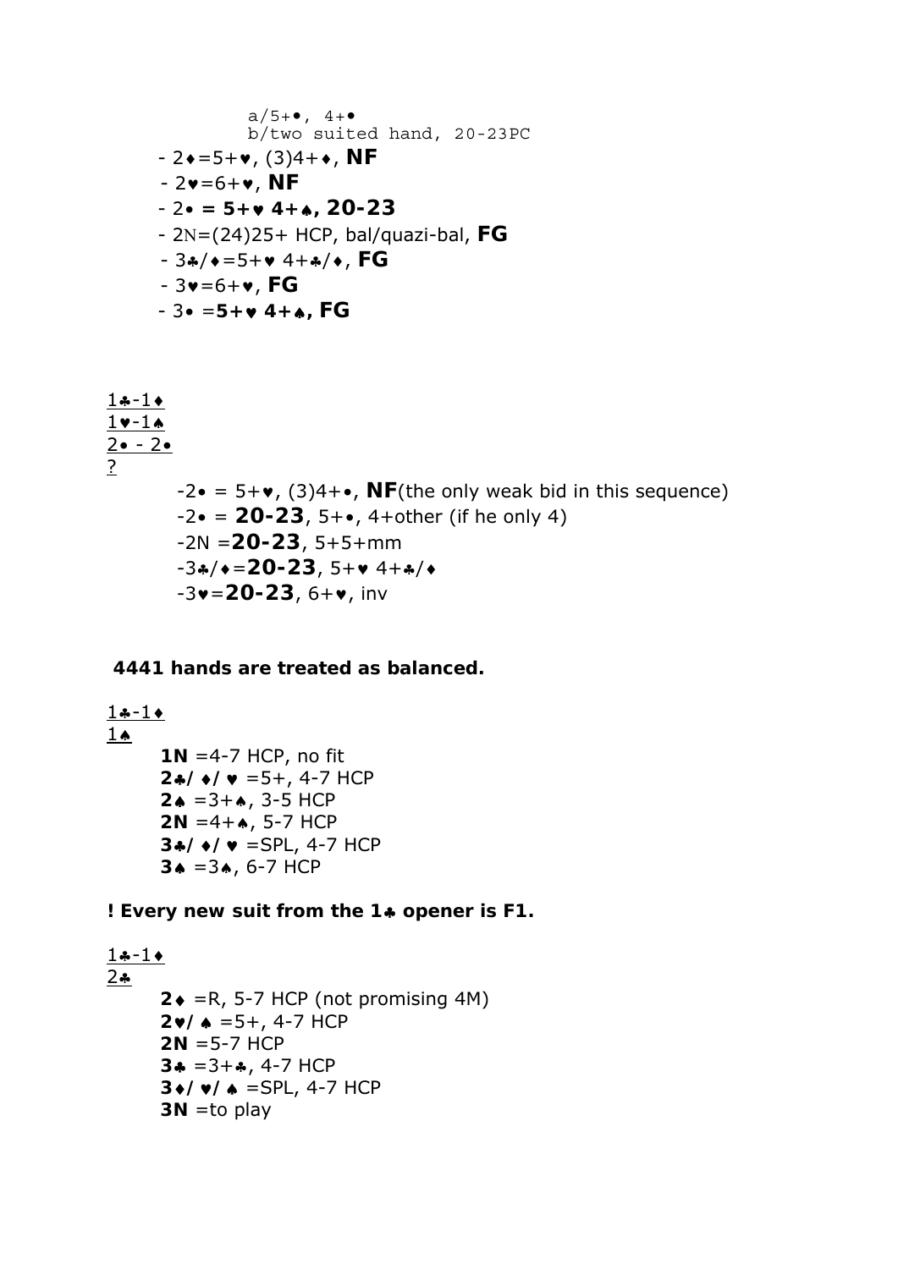a/5+•, 4+• b/two suited hand, 20-23PC - 2=5+, (3)4+, **NF**  - 2=6+, **NF** - 2• **= 5+ 4+, 20-23**  - 2=(24)25+ HCP, bal/quazi-bal, **FG**  - 3/=5+ 4+/, **FG** - 3=6+, **FG** - 3• =**5+ 4+, FG**

$$
\frac{1 \cdot 1 \cdot 1}{2 \cdot 2 \cdot 2}
$$
\n  
\n
$$
\frac{2 \cdot 2 \cdot 2}{2}
$$
\n  
\n
$$
-2 \cdot 2 = 5 + \cdot (3)4 + \cdot 1
$$
\n  
\n
$$
-2 \cdot 2 = 20 - 23, 5 + \cdot 1
$$
\n  
\n
$$
-2 \cdot 2 = 20 - 23, 5 + \cdot 1
$$
\n  
\n
$$
-2 \cdot 2 = 20 - 23, 5 + \cdot 1
$$
\n  
\n
$$
-3 \cdot 4 \cdot 2 = 20 - 23, 5 + \cdot 1
$$
\n  
\n
$$
-3 \cdot 20 - 23, 5 + \cdot 1
$$
\n  
\n
$$
-3 \cdot 20 - 23, 6 + \cdot 1
$$
\n  
\n
$$
-3 \cdot 20 - 23, 6 + \cdot 1
$$
\n  
\n
$$
-3 \cdot 20 - 23, 6 + \cdot 1
$$
\n  
\n
$$
-3 \cdot 20 - 23, 6 + \cdot 1
$$
\n  
\n
$$
-3 \cdot 20 - 23, 6 + \cdot 1
$$
\n  
\n
$$
-3 \cdot 20 - 23, 6 + \cdot 1
$$
\n  
\n
$$
-3 \cdot 20 - 23, 6 + \cdot 1
$$
\n  
\n
$$
-3 \cdot 20 - 23, 6 + \cdot 1
$$
\n  
\n
$$
-3 \cdot 20 - 23, 6 + \cdot 1
$$
\n  
\n
$$
-3 \cdot 20 - 23, 6 + \cdot 1
$$
\n  
\n
$$
-3 \cdot 20 - 23, 6 + \cdot 1
$$
\n  
\n
$$
-3 \cdot 20 - 23, 6 + \cdot 1
$$
\n  
\n
$$
-3 \cdot 20 - 23, 6 + \cdot 1
$$
\n  
\n
$$
-3 \cdot 20 - 23, 6 + \cdot 1
$$
\n  
\n
$$
-3 \cdot 20 - 23, 6 + \cdot 1
$$
\n  
\n
$$
-3 \cdot 20 -
$$

#### **4441 hands are treated as balanced.**

 $1 - 1$  $1 \spadesuit$ **1N** =4-7 HCP, no fit  $24$ / $\sqrt{v}$  = 5+, 4-7 HCP  $2 \bullet = 3 + \bullet$ , 3-5 HCP  $2N = 4 + \bullet$ , 5-7 HCP **3//** =SPL, 4-7 HCP  $3 \triangle = 3 \triangle$ , 6-7 HCP

**! Every new suit from the 1 opener is F1.** 

```
1 - 1242 \cdot =R, 5-7 HCP (not promising 4M)
     2 \cdot / \cdot = 5 + 4 - 7 HCP
     2N =5-7 HCP 
     3* = 3+, 4-7 HCP
     3// =SPL, 4-7 HCP 
      3N =to play
```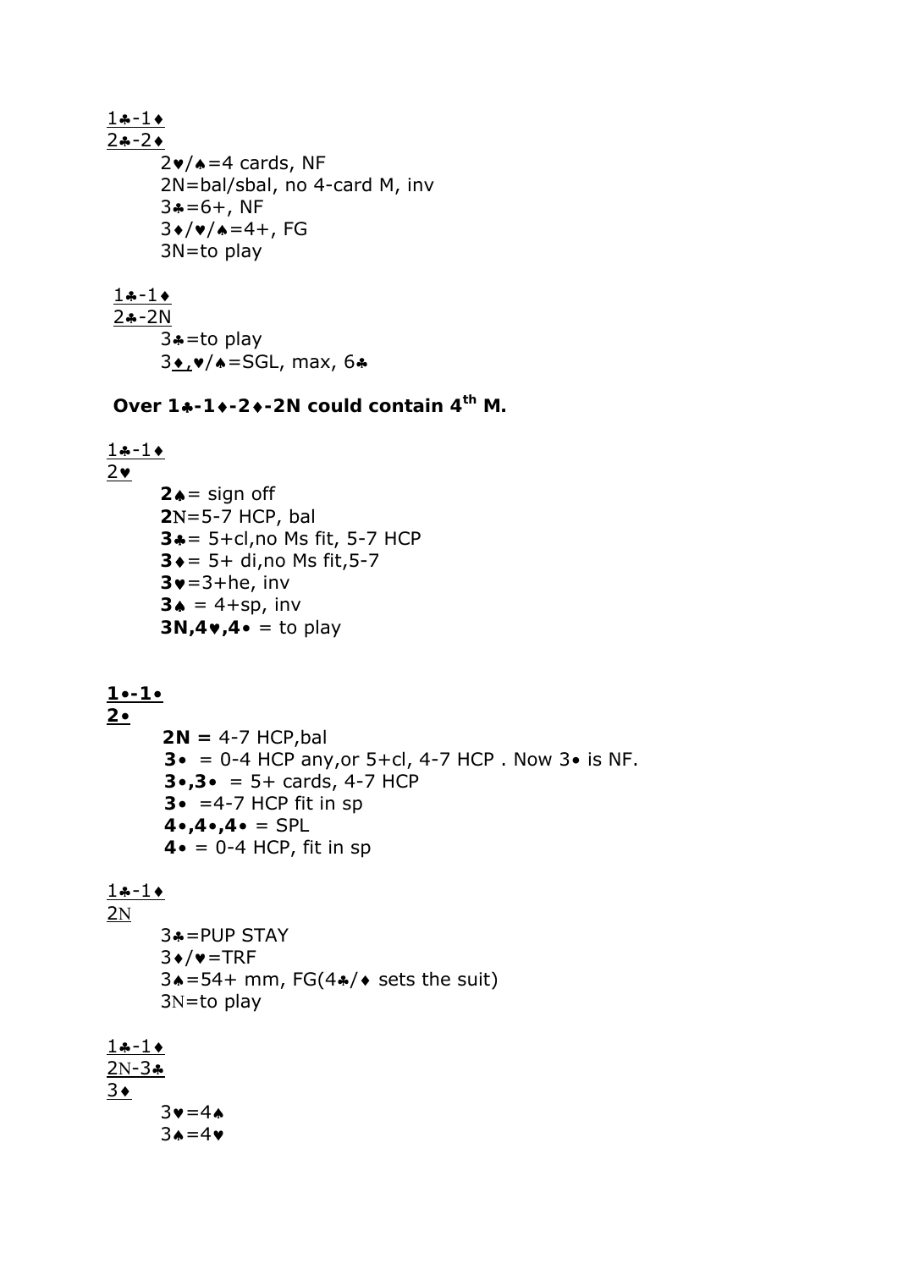$1 - 1$  $2 - 2$  $2\nu/$   $\triangle$  = 4 cards, NF 2N=bal/sbal, no 4-card M, inv  $3* = 6 +$ , NF  $3/(4/4) = 4 + 5$  3N=to play  $1 - 1$  $2 - 2N$  $3$ \*=to play

 $3\bullet$ ,  $\bullet$ / $\bullet$ =SGL, max, 6 $\bullet$ 

**Over 1-1-2-2N could contain 4th M.** 

 $1 - 1$  $2\bullet$  $2 \triangle =$  sign off **2**N=5-7 HCP, bal **3**= 5+cl,no Ms fit, 5-7 HCP **3** ♦ = 5+ di,no Ms fit, 5-7  $3\blacktriangledown=3+he$ , inv  $3 \triangle = 4 + sp$ , inv  $3N,4$ **•**  $4$ **•** = to play

#### **1•-1•**

**2• 2N =** 4-7 HCP,bal **3•** = 0-4 HCP any,or 5+cl, 4-7 HCP . Now 3• is NF. **3•,3•** = 5+ cards, 4-7 HCP **3•** =4-7 HCP fit in sp  $4 \cdot 4 \cdot 4 \cdot 4 = SPL$ **4•** = 0-4 HCP, fit in sp

#### $1 - 1$ **2N**

 3=PUP STAY  $3*/\bullet = TRF$  $3* = 54+$  mm, FG(4 $*/*$  sets the suit)  $3N=$ to play

#### $1 - 1$  $2N-3*$  $3 \cdot$  $3v=4A$  $3A=4V$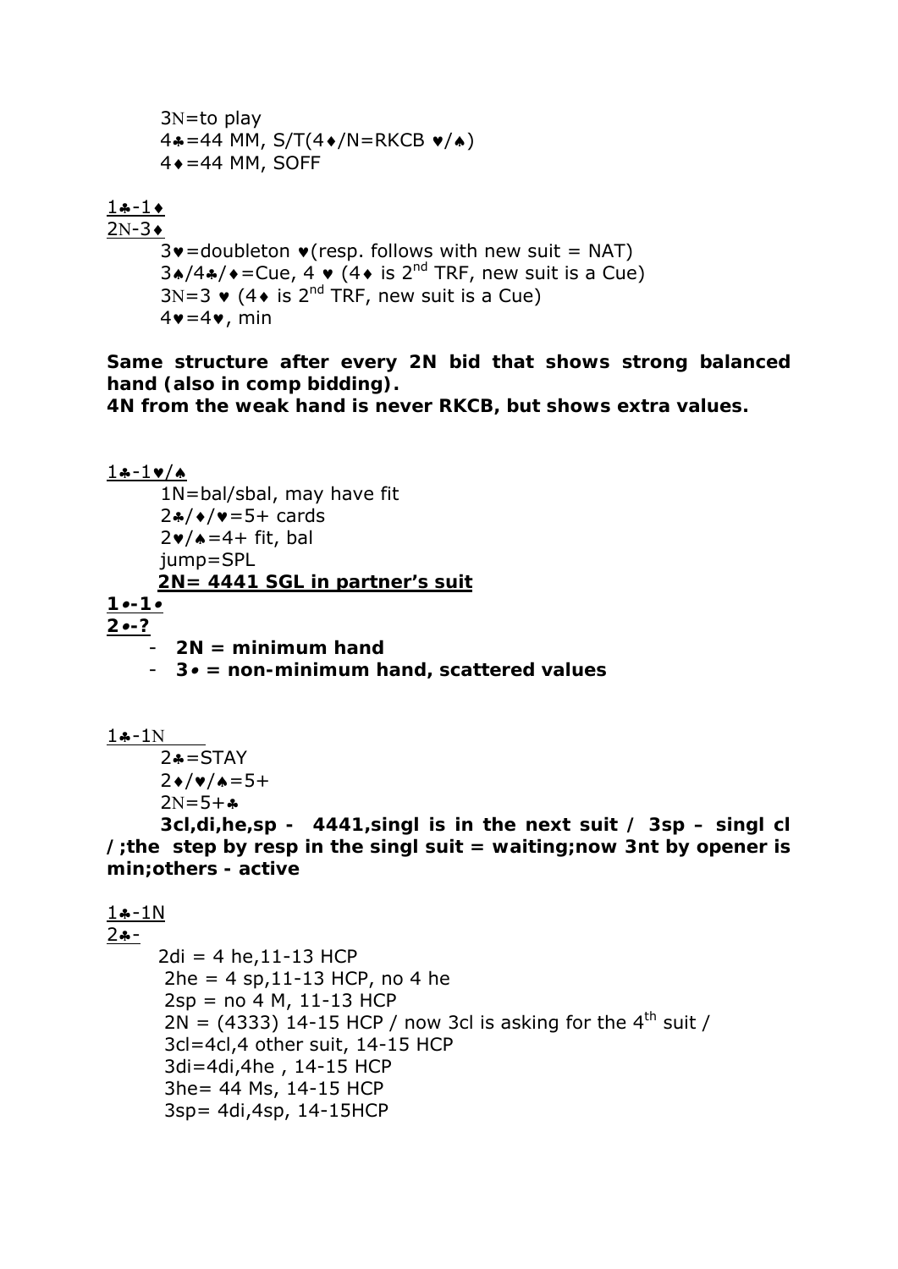$$
3N=to play
$$
\n
$$
4* = 44 MM, S/T(4*/N=RKCB ∅/*)
$$
\n
$$
4* = 44 MM, SOFF
$$
\n
$$
\frac{1*}{N} = 1*
$$

#### $1 - 1$  $2N-3+$

 $3\mathbf{v}$ =doubleton  $\mathbf{v}$ (resp. follows with new suit = NAT)  $3*/4*/\bullet =$ Cue,  $4 \bullet (4 \bullet \text{ is } 2^{\text{nd}}$  TRF, new suit is a Cue)  $3N=3$   $\vee$  (4 $\vee$  is 2<sup>nd</sup> TRF, new suit is a Cue)  $4\mathbf{v}=4\mathbf{v}$ , min

**Same structure after every 2N bid that shows strong balanced hand (also in comp bidding).** 

**4N from the weak hand is never RKCB, but shows extra values.** 

 $1 - 1$ v/a 1N=bal/sbal, may have fit  $2*/*/=5+$  cards  $2\ntriangleright$ / $\triangle$ =4+ fit, bal jump=SPL *2N= 4441 SGL in partner's suit 1•-1• 2•-?*  - *2N = minimum hand*  - *3• = non-minimum hand, scattered values* 

 $1 - 1N$ 

 $2* = STAY$  $2 \cdot / \cdot \cdot = 5 +$  $2N=5+A$ 

**3cl,di,he,sp - 4441,singl is in the next suit / 3sp – singl cl /;the step by resp in the singl suit = waiting;now 3nt by opener is min;others - active** 

```
1 - 1N2 - -2di = 4 he, 11-13 HCP
      2he = 4 sp, 11-13 HCP, no 4 he2sp = no 4 M, 11-13 HCP2N = (4333) 14-15 HCP / now 3cl is asking for the 4<sup>th</sup> suit /
       3cl=4cl,4 other suit, 14-15 HCP 
       3di=4di,4he , 14-15 HCP 
       3he= 44 Ms, 14-15 HCP 
       3sp= 4di,4sp, 14-15HCP
```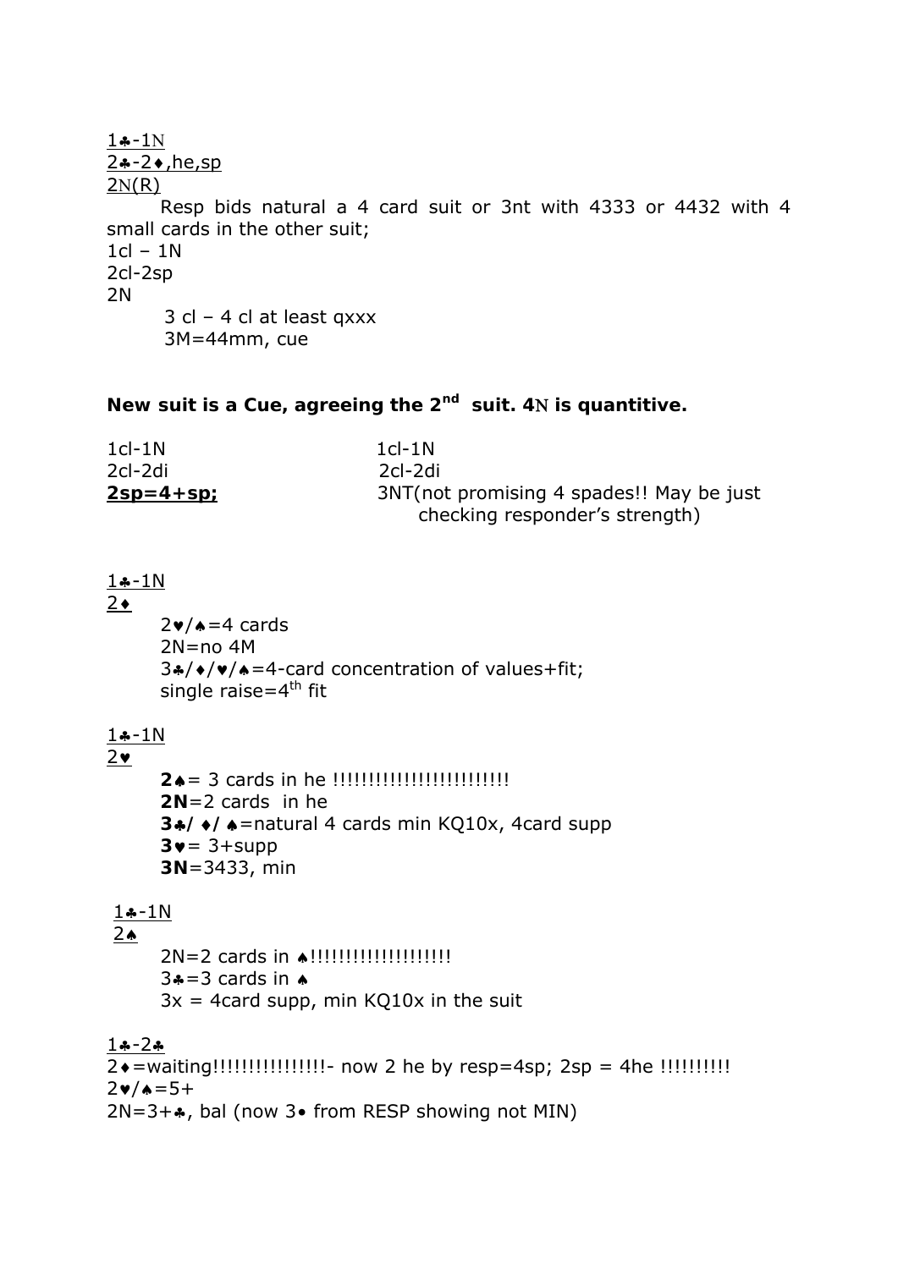```
1 - 1N2*-2*, he, sp
2N(R) Resp bids natural a 4 card suit or 3nt with 4333 or 4432 with 4 
small cards in the other suit; 
1cl - 1N2cl-2sp 
2N 
       3 cl – 4 cl at least qxxx 
       3M=44mm, cue
```
#### **New suit is a Cue, agreeing the 2nd suit. 4 is quantitive.**

| $1cl - 1N$   | $1cl - 1N$                                |  |
|--------------|-------------------------------------------|--|
| 2cl-2di      | 2cl-2di                                   |  |
| $2$ sp=4+sp; | 3NT (not promising 4 spades!! May be just |  |
|              | checking responder's strength)            |  |

#### $1 - 1N$

 $2 \cdot$ 

 $2\nu/\lambda = 4$  cards 2N=no 4M  $3*/*/*/*$  =4-card concentration of values+fit; single raise= $4<sup>th</sup>$  fit

#### $1 - 1N$

 $2<sub>2</sub>$ 

```
2= 3 cards in he !!!!!!!!!!!!!!!!!!!!!!!!! 
2N=2 cards in he 
3//=natural 4 cards min KQ10x, 4card supp 
3 \vee = 3 + \text{supp}3N=3433, min
```
#### $1 - 1N$

 $2 \spadesuit$ 

 2N=2 cards in !!!!!!!!!!!!!!!!!!!!  $3*-3$  cards in  $\bullet$  $3x = 4$ card supp, min KQ10x in the suit

#### $1 - 2$

2=waiting!!!!!!!!!!!!!!!!- now 2 he by resp=4sp; 2sp = 4he !!!!!!!!!!  $2 \cdot 4 = 5 +$  $2N=3+\bullet$ , bal (now 3 $\bullet$  from RESP showing not MIN)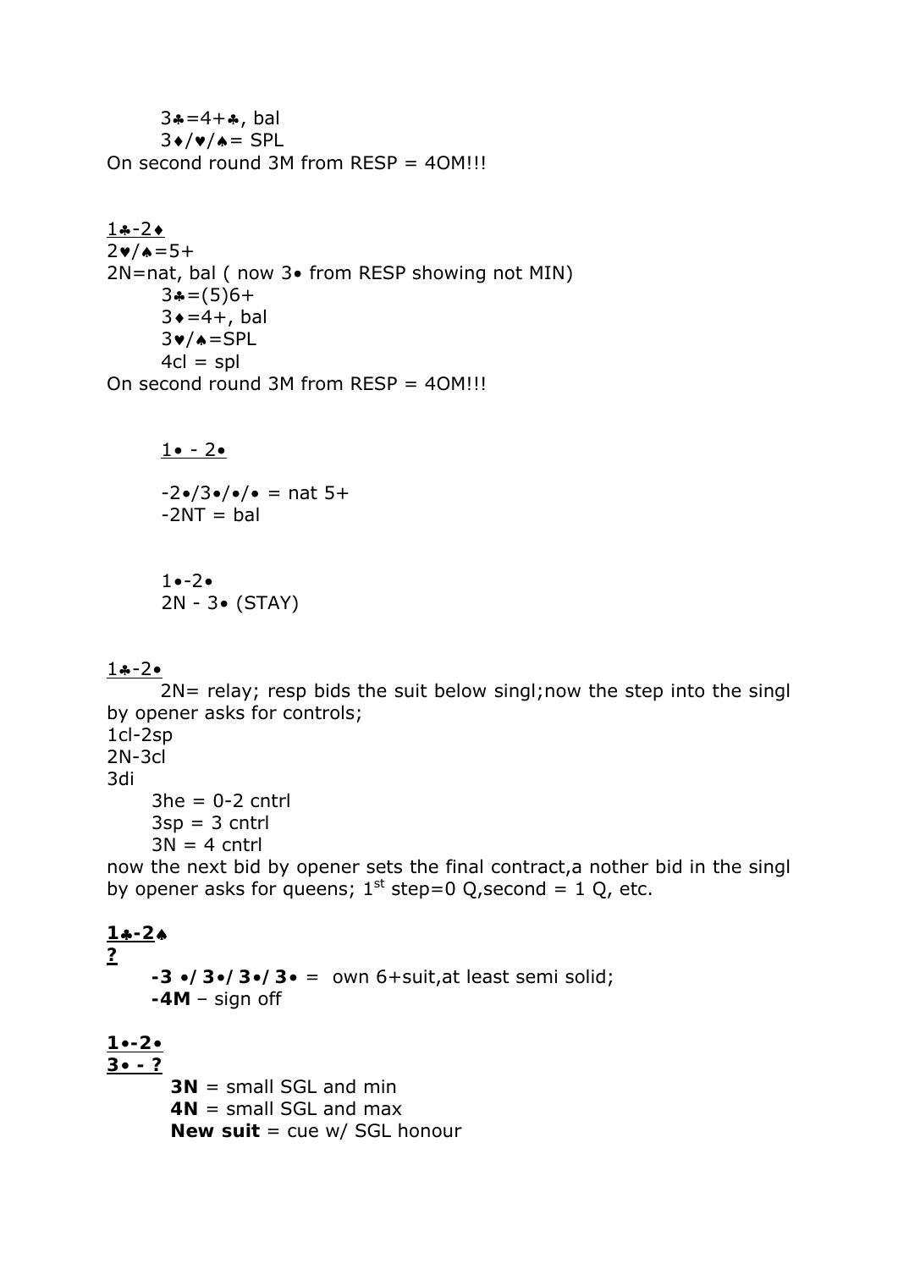$3*-4+A$ , bal  $3*/\bullet/\bullet =$  SPL On second round 3M from  $RESP = 40$ M!!!

#### $1 - 2 +$  $2\nu/\lambda=5+$

2N=nat, bal ( now 3• from RESP showing not MIN)  $3 = (5)6 +$  $3 \div = 4 +$ , bal  $3\n**v**/\n**e**=SPL$  $4cl = spl$ On second round 3M from RESP = 4OM!!!

 $1 \bullet - 2 \bullet$ 

 $-2\cdot/3\cdot/\cdot/2 = \text{nat } 5 +$  $-2NT = bal$ 

1•-2• 2N - 3• (STAY)

### $1-2•$

 2N= relay; resp bids the suit below singl;now the step into the singl by opener asks for controls; 1cl-2sp 2N-3cl

3di

 $3he = 0-2$  cntrl  $3$ sp =  $3$  cntrl  $3N = 4$  cntrl

now the next bid by opener sets the final contract,a nother bid in the singl by opener asks for queens;  $1<sup>st</sup>$  step=0 Q, second = 1 Q, etc.

# $1 - 2$ **? -3 •/3•/3•/3•** = own 6+suit,at least semi solid; **-4M** – sign off **1•-2•**

**3• - ? 3N** = small SGL and min **4N** = small SGL and max **New suit** = cue w/ SGL honour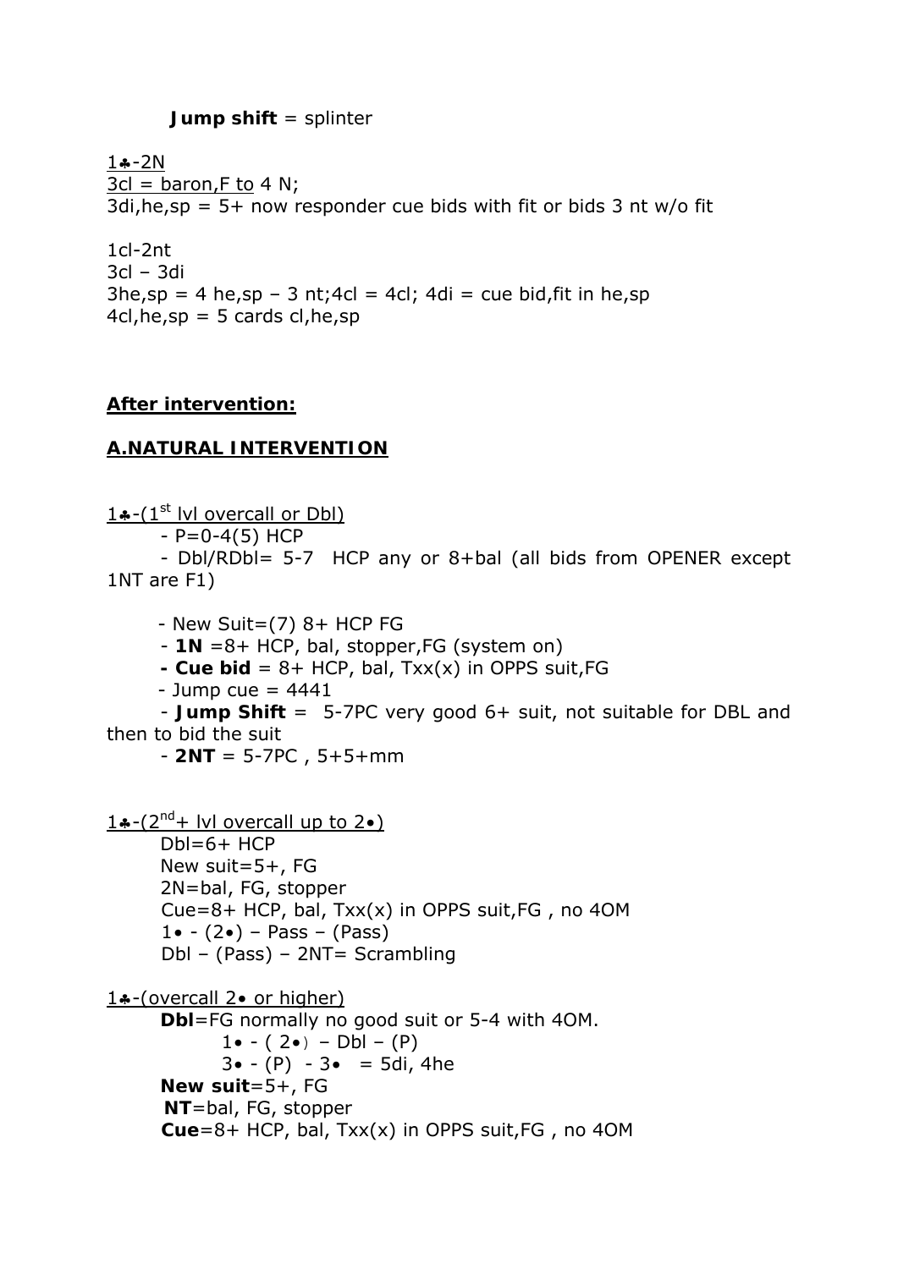#### **Jump shift** = splinter

 $1 - 2N$  $3cl = baron, F to 4 N;$  $3di, he, sp = 5+ now$  responder cue bids with fit or bids 3 nt w/o fit

1cl-2nt 3cl – 3di  $3he, sp = 4 he, sp - 3 nt; 4cl = 4cl; 4di = cue bid, fit in he, sp$  $4cl, he, sp = 5 \text{ cards cl}, he, sp$ 

#### **After intervention:**

#### **A.NATURAL INTERVENTION**

 $1 \cdot (-1)^{st}$  lvl overcall or Dbl)  $- P=0-4(5)$  HCP - Dbl/RDbl= 5-7 HCP any or 8+bal (all bids from OPENER except 1NT are F1)

 $-$  New Suit= $(7)$  8+ HCP FG - **1N** =8+ HCP, bal, stopper,FG (system on) **- Cue bid** = 8+ HCP, bal, Txx(x) in OPPS suit,FG - Jump cue  $= 4441$  - **Jump Shift** = 5-7PC very good 6+ suit, not suitable for DBL and then to bid the suit - **2NT** = 5-7PC , 5+5+mm 1.  $-(2^{nd} + 1)$  overcall up to 2.  $Db = 6 + HCP$  New suit=5+, FG 2N=bal, FG, stopper Cue=8+ HCP, bal,  $Txx(x)$  in OPPS suit, FG, no 40M  $1 \bullet - (2 \bullet) -$  Pass – (Pass) Dbl – (Pass) – 2NT= Scrambling 14-(overcall 2• or higher) **Dbl**=FG normally no good suit or 5-4 with 4OM. 1 $\bullet$  - (2 $\bullet$ ) – Dbl – (P)  $3 \cdot (-P) - 3 \cdot = 5di$ , 4he **New suit**=5+, FG **NT**=bal, FG, stopper **Cue**=8+ HCP, bal, Txx(x) in OPPS suit,FG , no 4OM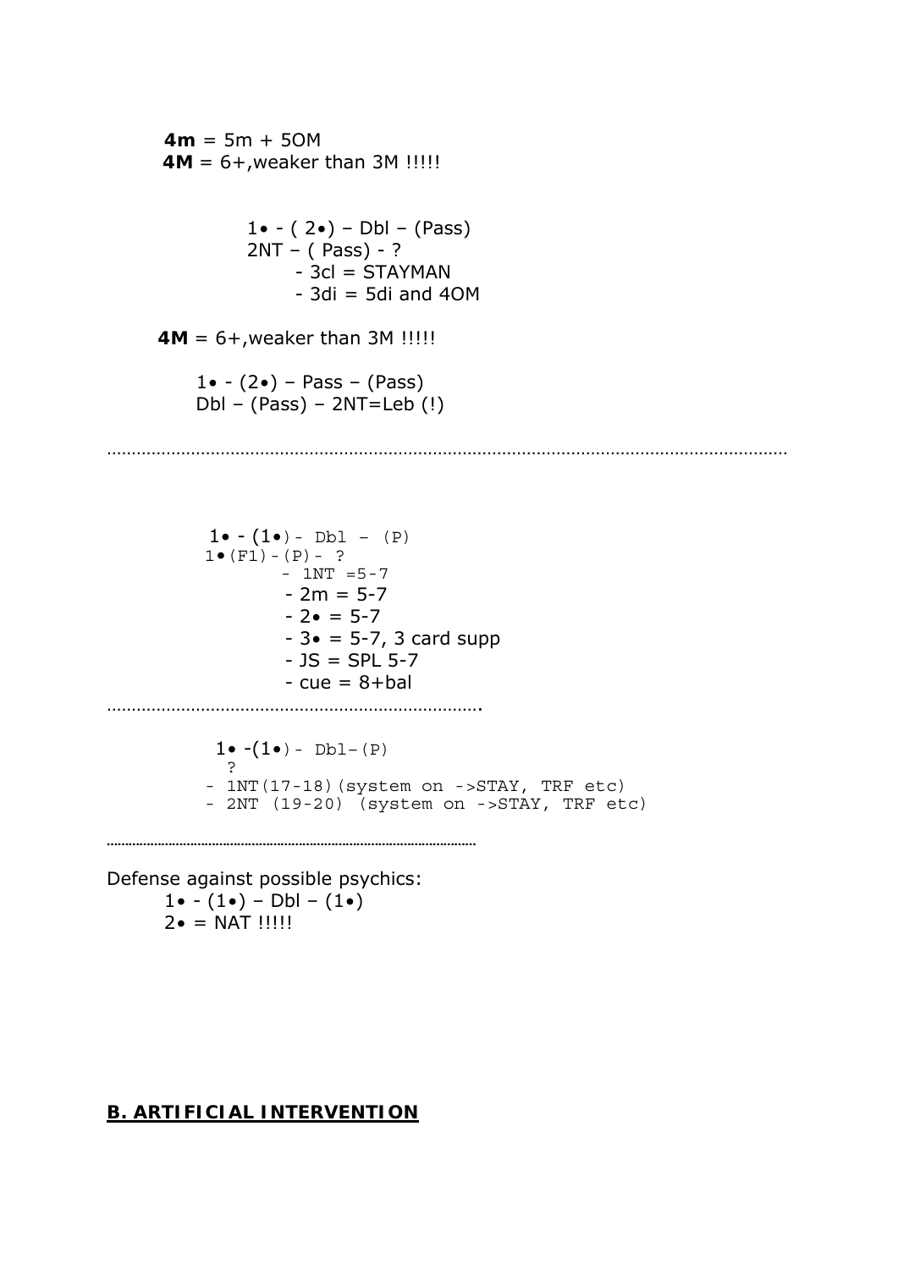**4m** = 5m + 5OM  **4M** = 6+,weaker than 3M !!!!! 1 $\bullet$  - (2 $\bullet$ ) – Dbl – (Pass) 2NT – ( Pass) - ?  $-$  3cl = STAYMAN  $-$  3di = 5di and 40M **4M** = 6+,weaker than 3M !!!!! 1 $\bullet$  - (2 $\bullet$ ) – Pass – (Pass) Dbl – (Pass) – 2NT=Leb (!) . The same independent of the same independent of the same independent of the same independent of the same independent of the same independent of the same independent of the same independent of the same independent of the

 $1 \bullet - (1 \bullet) - \text{Dbl} - (P)$  $1 \bullet (F1) - (P) - ?$  $-$  1NT  $=$  5-7  $- 2m = 5-7$  $- 2 \cdot = 5 - 7$  $- 3 \cdot = 5 - 7$ , 3 card supp  $-$  JS = SPL 5-7  $-cue = 8 + bal$ ………………………………………………………………….

 $1 \cdot (-1 \cdot - \text{Db1} - (P)$  ? - 1NT(17-18)(system on ->STAY, TRF etc) - 2NT (19-20) (system on ->STAY, TRF etc)

…………………………………………………………………………………………

Defense against possible psychics: 1 $\bullet$  - (1 $\bullet$ ) – Dbl – (1 $\bullet$ )  $2 \bullet = NAT$  !!!!!!

#### **B. ARTIFICIAL INTERVENTION**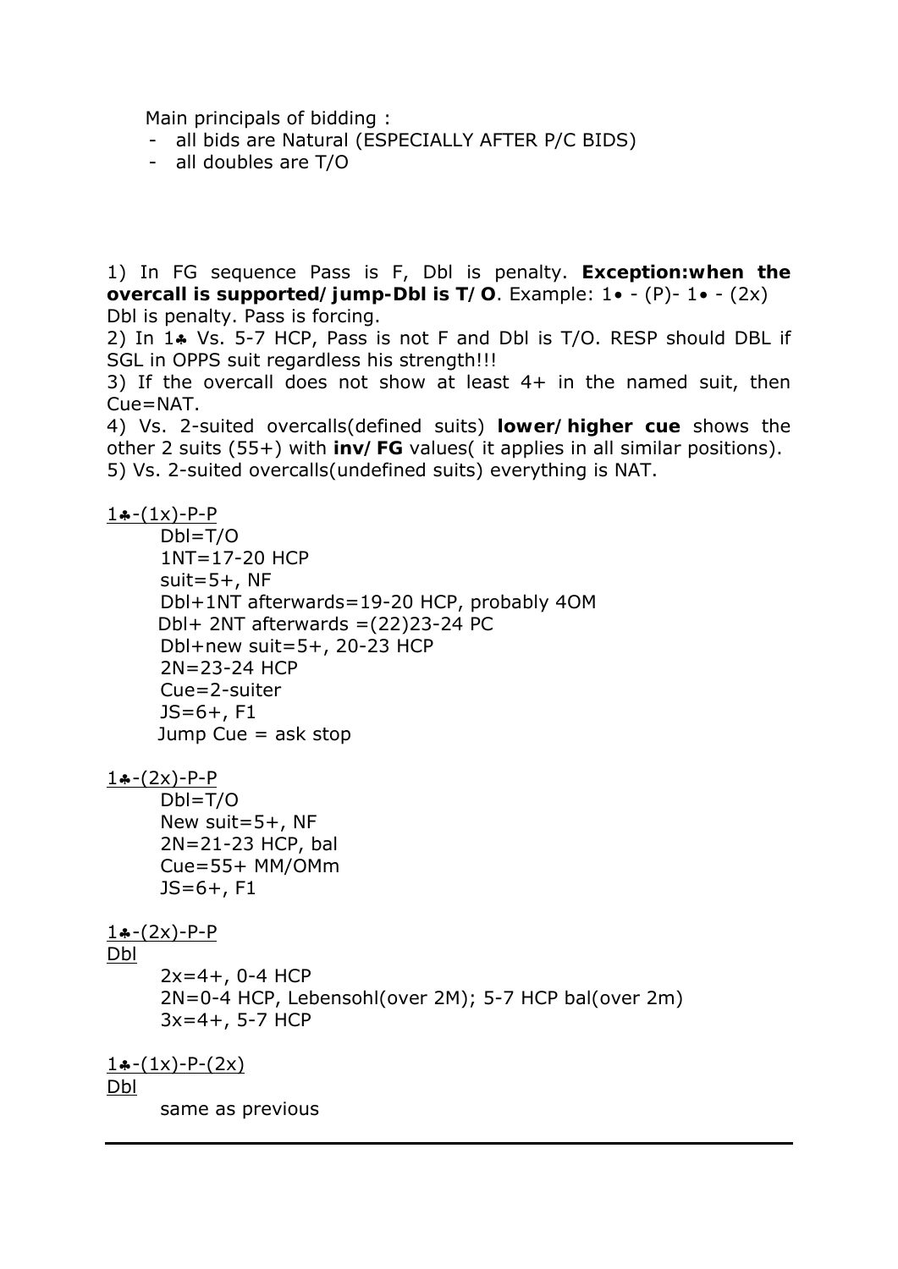Main principals of bidding :

- all bids are Natural (ESPECIALLY AFTER P/C BIDS)
- all doubles are T/O

1) In FG sequence Pass is F, Dbl is penalty. **Exception:when the overcall is supported/jump-Dbl is T/O**. Example: 1• - (P)- 1• - (2x) Dbl is penalty. Pass is forcing.

2) In 1. Vs. 5-7 HCP, Pass is not F and Dbl is T/O. RESP should DBL if SGL in OPPS suit regardless his strength!!!

3) If the overcall does not show at least 4+ in the named suit, then Cue=NAT.

4) Vs. 2-suited overcalls(defined suits) **lower/higher cue** shows the other 2 suits (55+) with **inv/FG** values( it applies in all similar positions). 5) Vs. 2-suited overcalls(undefined suits) everything is NAT.

#### $1(-1)(x) - P - P$

 Dbl=T/O 1NT=17-20 HCP suit= $5+$ , NF Dbl+1NT afterwards=19-20 HCP, probably 4OM Dbl+ 2NT afterwards  $=(22)23-24$  PC Dbl+new suit=5+, 20-23 HCP 2N=23-24 HCP Cue=2-suiter  $JS=6+, F1$ Jump Cue  $=$  ask stop

 $1 - (2x) - P - P$ 

 Dbl=T/O New suit=5+, NF 2N=21-23 HCP, bal Cue=55+ MM/OMm JS=6+, F1

#### $1(-2x) - P - P$

#### Dbl

 $2x=4+$ , 0-4 HCP 2N=0-4 HCP, Lebensohl(over 2М); 5-7 HCP bal(over 2m) 3x=4+, 5-7 HCP

 $1 \cdot (-1 x) - P - (2x)$ Dbl

same as previous